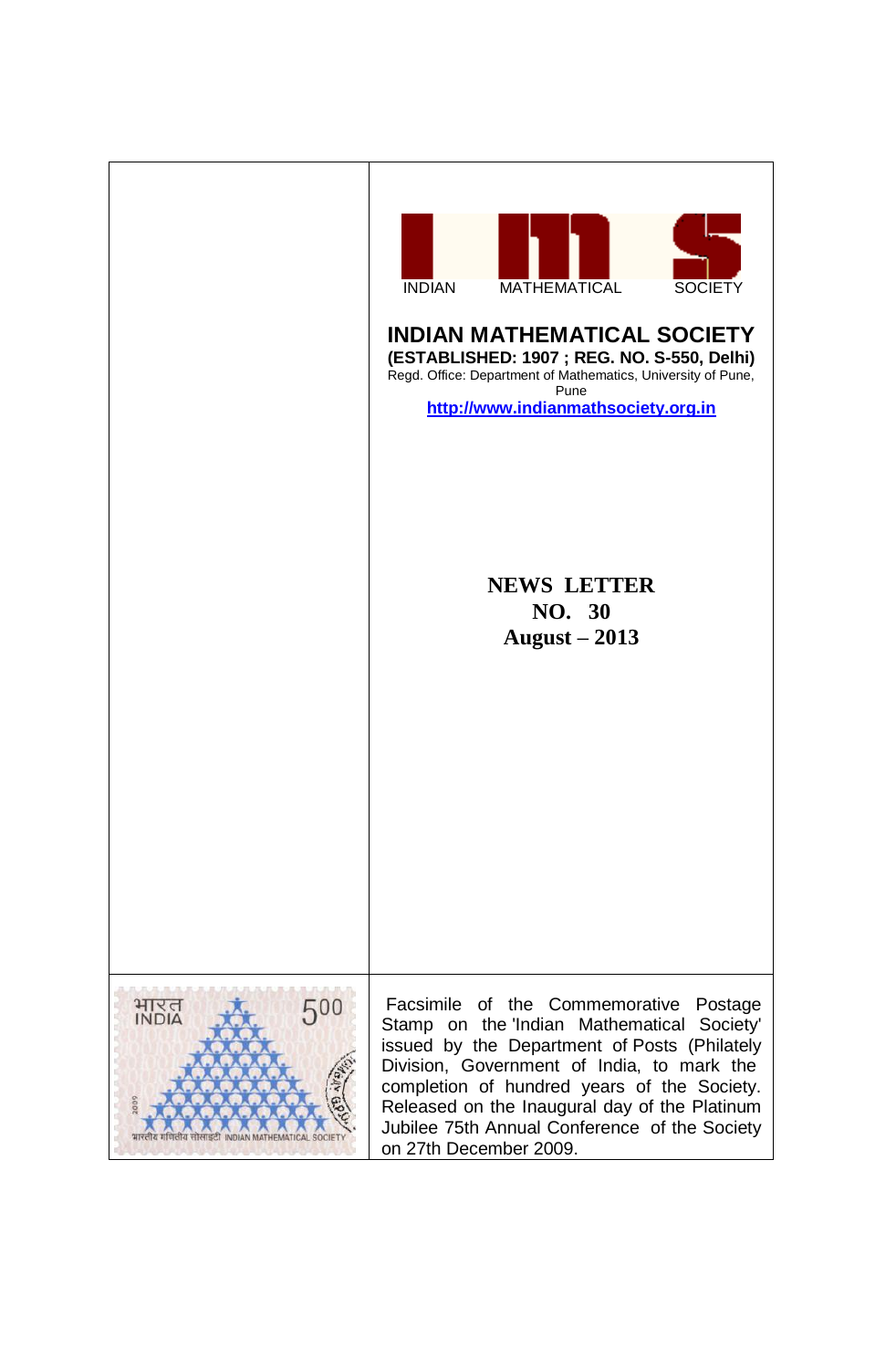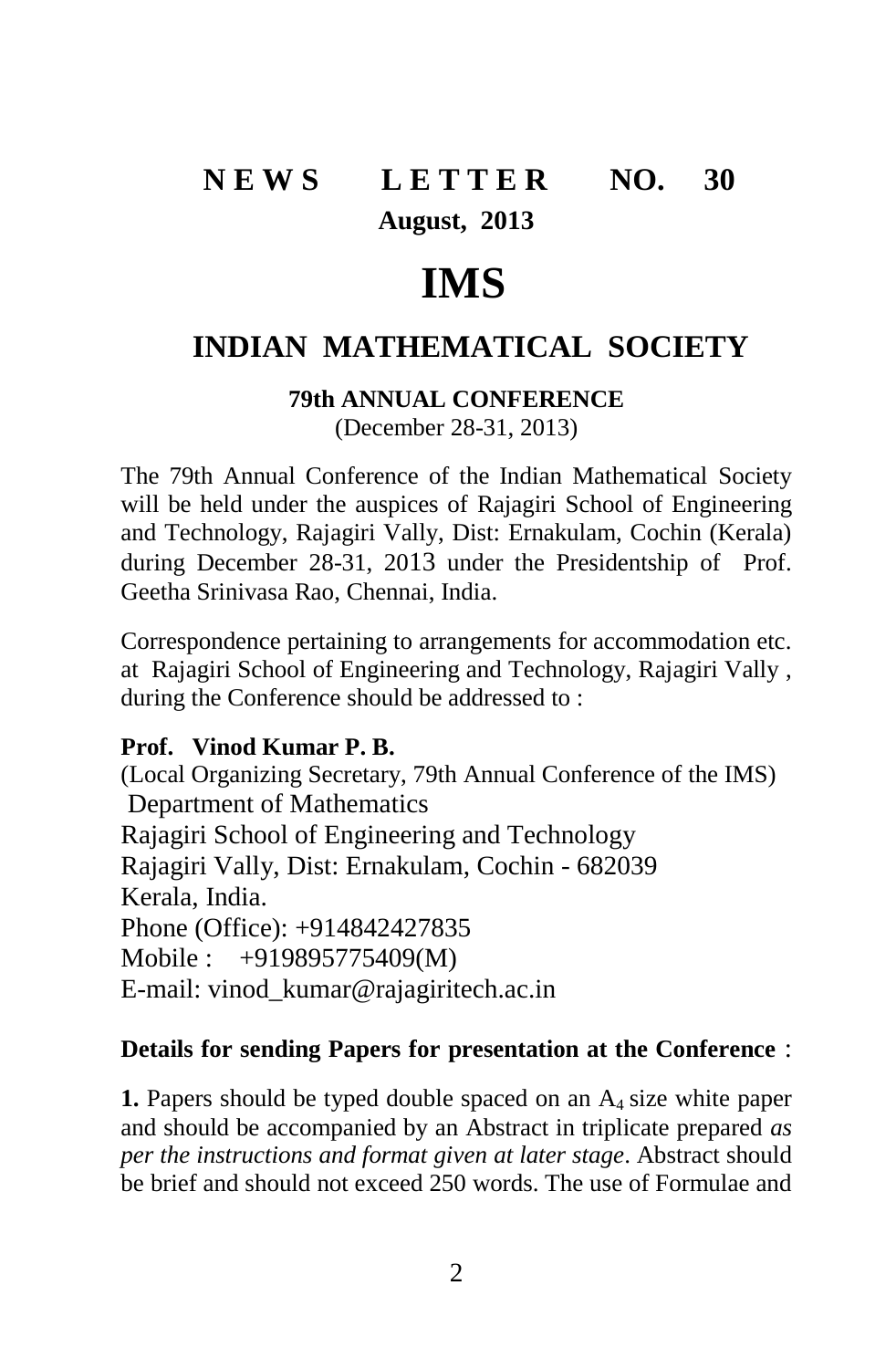# **N E W S L E T T E R NO. 30 August, 2013**

# **IMS**

# **INDIAN MATHEMATICAL SOCIETY**

**79th ANNUAL CONFERENCE** (December 28-31, 2013)

The 79th Annual Conference of the Indian Mathematical Society will be held under the auspices of Rajagiri School of Engineering and Technology, Rajagiri Vally, Dist: Ernakulam, Cochin (Kerala) during December 28-31, 2013 under the Presidentship of Prof. Geetha Srinivasa Rao, Chennai, India.

Correspondence pertaining to arrangements for accommodation etc. at Rajagiri School of Engineering and Technology, Rajagiri Vally , during the Conference should be addressed to :

#### **Prof. Vinod Kumar P. B.**

(Local Organizing Secretary, 79th Annual Conference of the IMS) Department of Mathematics Rajagiri School of Engineering and Technology Rajagiri Vally, Dist: Ernakulam, Cochin - 682039 Kerala, India. Phone (Office): +914842427835 Mobile : +919895775409(M) E-mail: vinod\_kumar@rajagiritech.ac.in

#### **Details for sending Papers for presentation at the Conference** :

**1.** Papers should be typed double spaced on an A<sub>4</sub> size white paper and should be accompanied by an Abstract in triplicate prepared *as per the instructions and format given at later stage*. Abstract should be brief and should not exceed 250 words. The use of Formulae and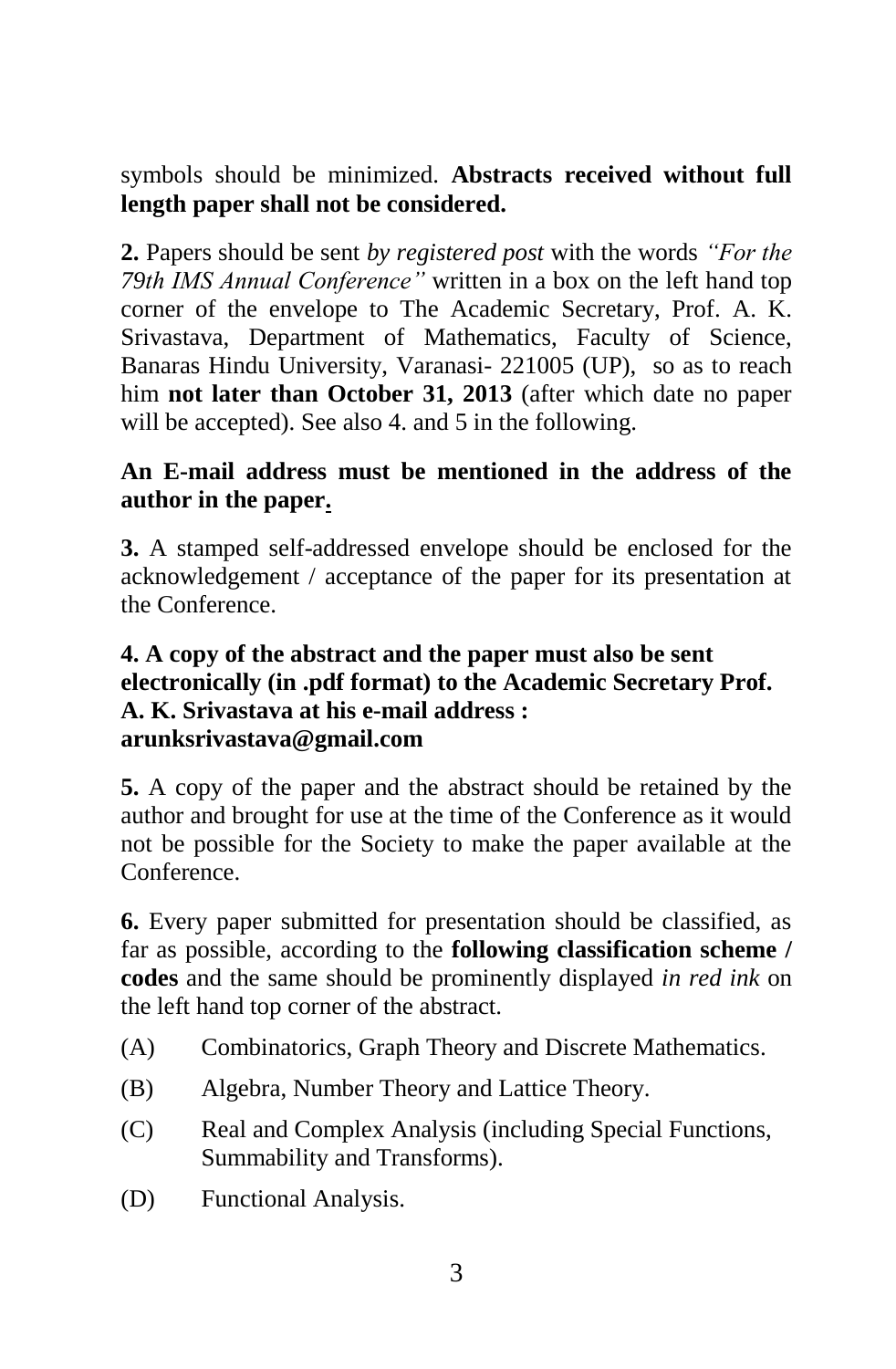symbols should be minimized. **Abstracts received without full length paper shall not be considered.** 

**2.** Papers should be sent *by registered post* with the words *"For the 79th IMS Annual Conference"* written in a box on the left hand top corner of the envelope to The Academic Secretary, Prof. A. K. Srivastava, Department of Mathematics, Faculty of Science, Banaras Hindu University, Varanasi- 221005 (UP), so as to reach him **not later than October 31, 2013** (after which date no paper will be accepted). See also 4. and 5 in the following.

# **An E-mail address must be mentioned in the address of the author in the paper.**

**3.** A stamped self-addressed envelope should be enclosed for the acknowledgement / acceptance of the paper for its presentation at the Conference.

#### **4. A copy of the abstract and the paper must also be sent electronically (in .pdf format) to the Academic Secretary Prof. A. K. Srivastava at his e-mail address : arunksrivastava@gmail.com**

**5.** A copy of the paper and the abstract should be retained by the author and brought for use at the time of the Conference as it would not be possible for the Society to make the paper available at the Conference.

**6.** Every paper submitted for presentation should be classified, as far as possible, according to the **following classification scheme / codes** and the same should be prominently displayed *in red ink* on the left hand top corner of the abstract.

- (A) Combinatorics, Graph Theory and Discrete Mathematics.
- (B) Algebra, Number Theory and Lattice Theory.
- (C) Real and Complex Analysis (including Special Functions, Summability and Transforms).
- (D) Functional Analysis.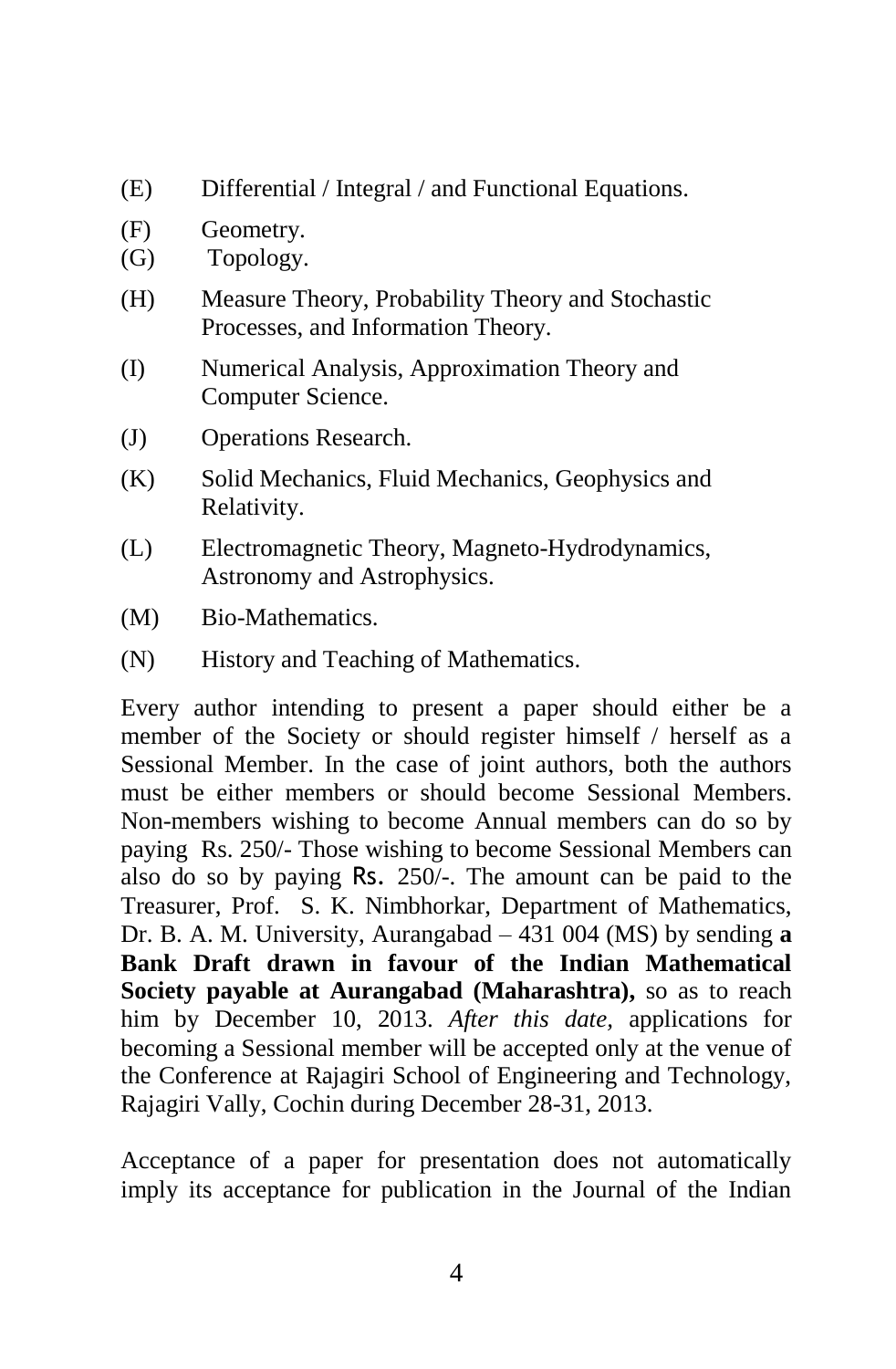- (E) Differential / Integral / and Functional Equations.
- (F) Geometry.
- (G) Topology.
- (H) Measure Theory, Probability Theory and Stochastic Processes, and Information Theory.
- (I) Numerical Analysis, Approximation Theory and Computer Science.
- (J) Operations Research.
- (K) Solid Mechanics, Fluid Mechanics, Geophysics and Relativity.
- (L) Electromagnetic Theory, Magneto-Hydrodynamics, Astronomy and Astrophysics.
- (M) Bio-Mathematics.
- (N) History and Teaching of Mathematics.

Every author intending to present a paper should either be a member of the Society or should register himself / herself as a Sessional Member. In the case of joint authors, both the authors must be either members or should become Sessional Members. Non-members wishing to become Annual members can do so by paying Rs. 250/- Those wishing to become Sessional Members can also do so by paying Rs. 250/-. The amount can be paid to the Treasurer, Prof. S. K. Nimbhorkar, Department of Mathematics, Dr. B. A. M. University, Aurangabad – 431 004 (MS) by sending **a Bank Draft drawn in favour of the Indian Mathematical Society payable at Aurangabad (Maharashtra),** so as to reach him by December 10, 2013. *After this date,* applications for becoming a Sessional member will be accepted only at the venue of the Conference at Rajagiri School of Engineering and Technology, Rajagiri Vally, Cochin during December 28-31, 2013.

Acceptance of a paper for presentation does not automatically imply its acceptance for publication in the Journal of the Indian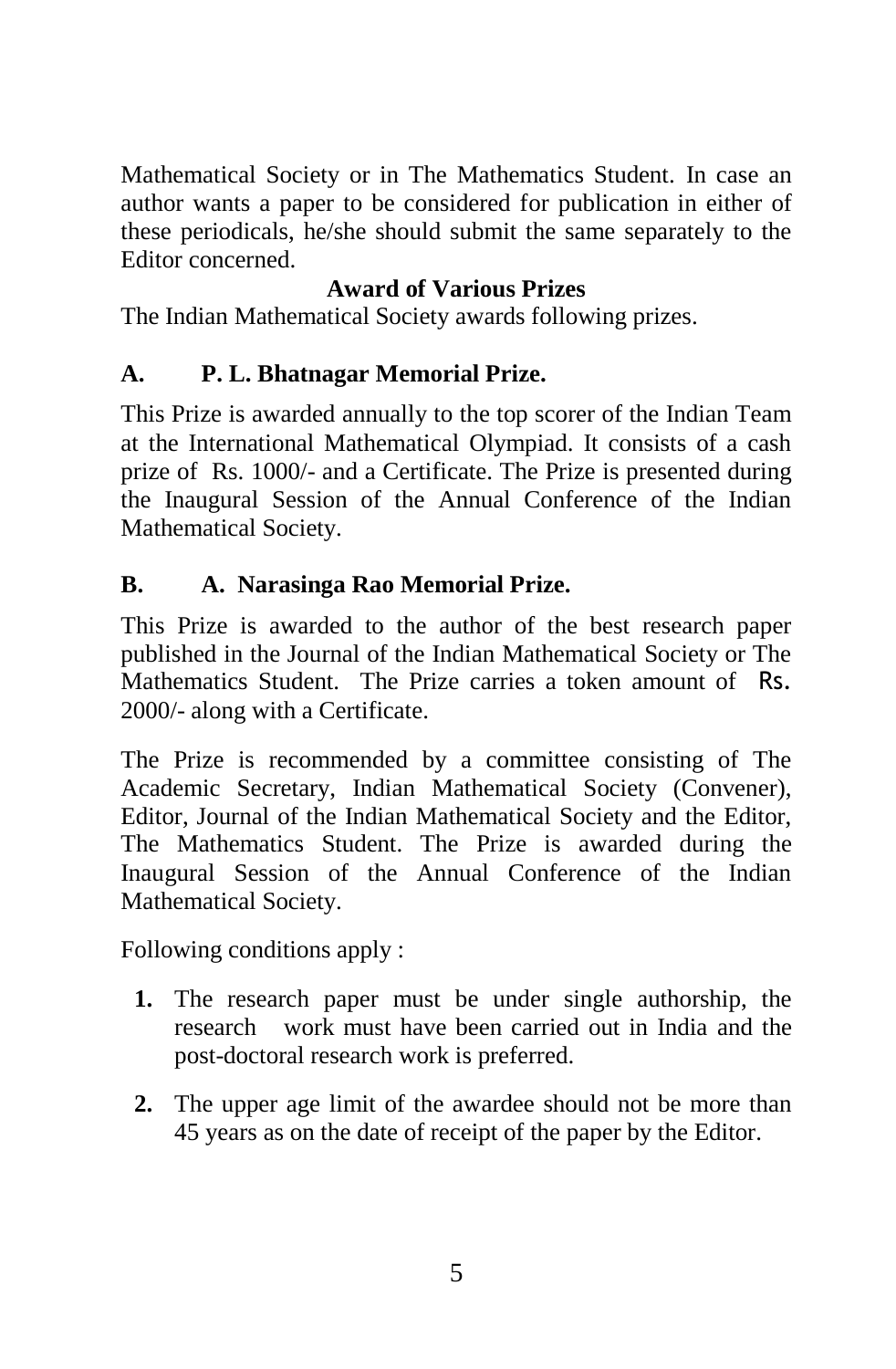Mathematical Society or in The Mathematics Student. In case an author wants a paper to be considered for publication in either of these periodicals, he/she should submit the same separately to the Editor concerned.

# **Award of Various Prizes**

The Indian Mathematical Society awards following prizes.

# **A. P. L. Bhatnagar Memorial Prize.**

This Prize is awarded annually to the top scorer of the Indian Team at the International Mathematical Olympiad. It consists of a cash prize of Rs. 1000/- and a Certificate. The Prize is presented during the Inaugural Session of the Annual Conference of the Indian Mathematical Society.

# **B. A. Narasinga Rao Memorial Prize.**

This Prize is awarded to the author of the best research paper published in the Journal of the Indian Mathematical Society or The Mathematics Student. The Prize carries a token amount of Rs. 2000/- along with a Certificate.

The Prize is recommended by a committee consisting of The Academic Secretary, Indian Mathematical Society (Convener), Editor, Journal of the Indian Mathematical Society and the Editor, The Mathematics Student. The Prize is awarded during the Inaugural Session of the Annual Conference of the Indian Mathematical Society.

Following conditions apply :

- **1.** The research paper must be under single authorship, the research work must have been carried out in India and the post-doctoral research work is preferred.
- **2.** The upper age limit of the awardee should not be more than 45 years as on the date of receipt of the paper by the Editor.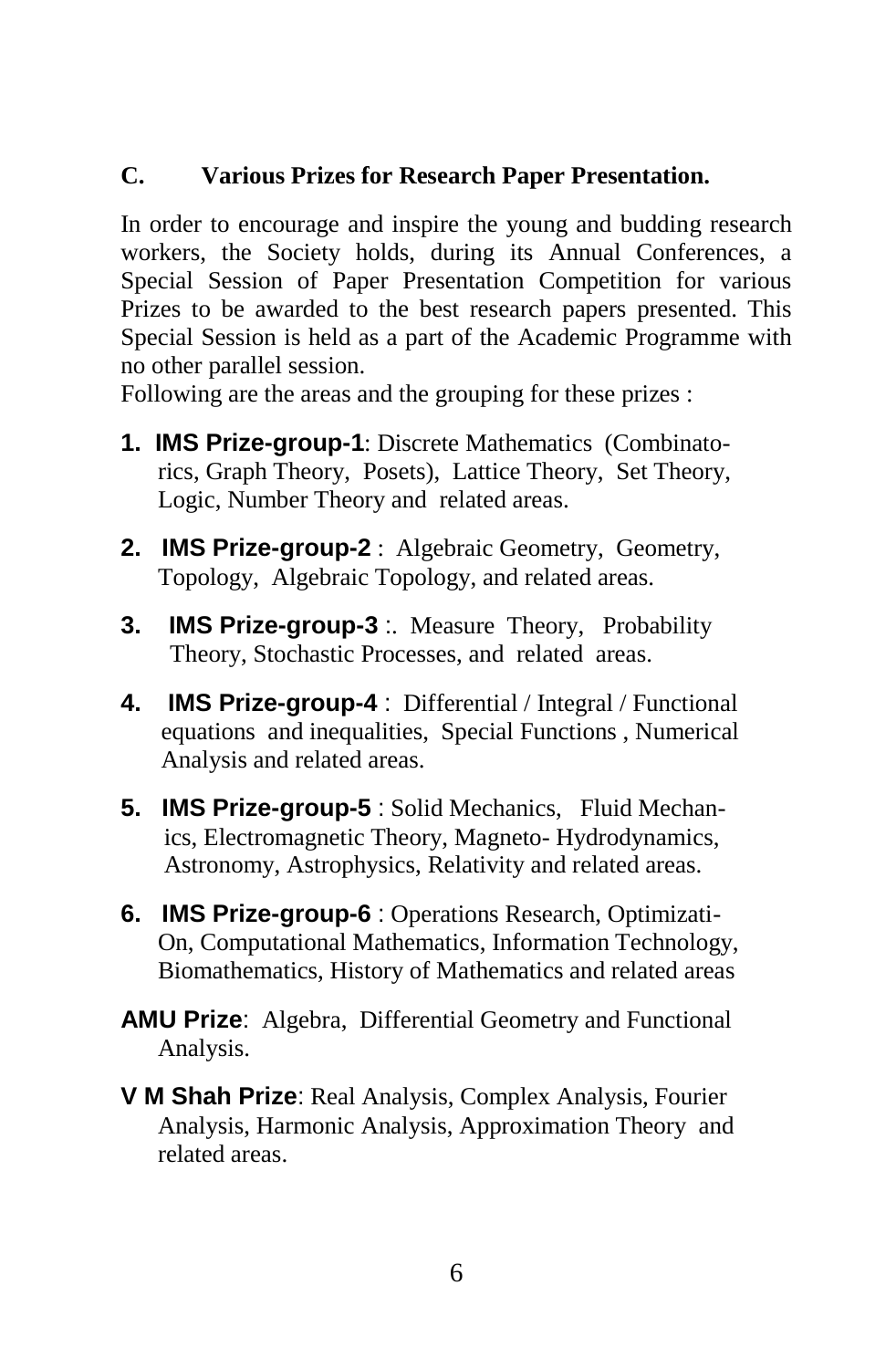# **C. Various Prizes for Research Paper Presentation.**

In order to encourage and inspire the young and budding research workers, the Society holds, during its Annual Conferences, a Special Session of Paper Presentation Competition for various Prizes to be awarded to the best research papers presented. This Special Session is held as a part of the Academic Programme with no other parallel session.

Following are the areas and the grouping for these prizes :

- **1. IMS Prize-group-1**: Discrete Mathematics (Combinato rics, Graph Theory,Posets), Lattice Theory, Set Theory, Logic, Number Theory and related areas.
- **2. IMS Prize-group-2** : Algebraic Geometry, Geometry, Topology, Algebraic Topology, and related areas.
- **3. IMS Prize-group-3** :. Measure Theory, Probability Theory, Stochastic Processes, and related areas.
- **4. IMS Prize-group-4** : Differential / Integral / Functional equations and inequalities, Special Functions , Numerical Analysis and related areas.
- **5. IMS Prize-group-5** : Solid Mechanics, Fluid Mechan ics, Electromagnetic Theory, Magneto- Hydrodynamics, Astronomy, Astrophysics, Relativity and related areas.
- **6. IMS Prize-group-6** : Operations Research, Optimizati- On, Computational Mathematics, Information Technology, Biomathematics, History of Mathematics and related areas
- **AMU Prize**: Algebra, Differential Geometry and Functional Analysis.
- **V M Shah Prize**: Real Analysis, Complex Analysis, Fourier Analysis, Harmonic Analysis, Approximation Theory and related areas.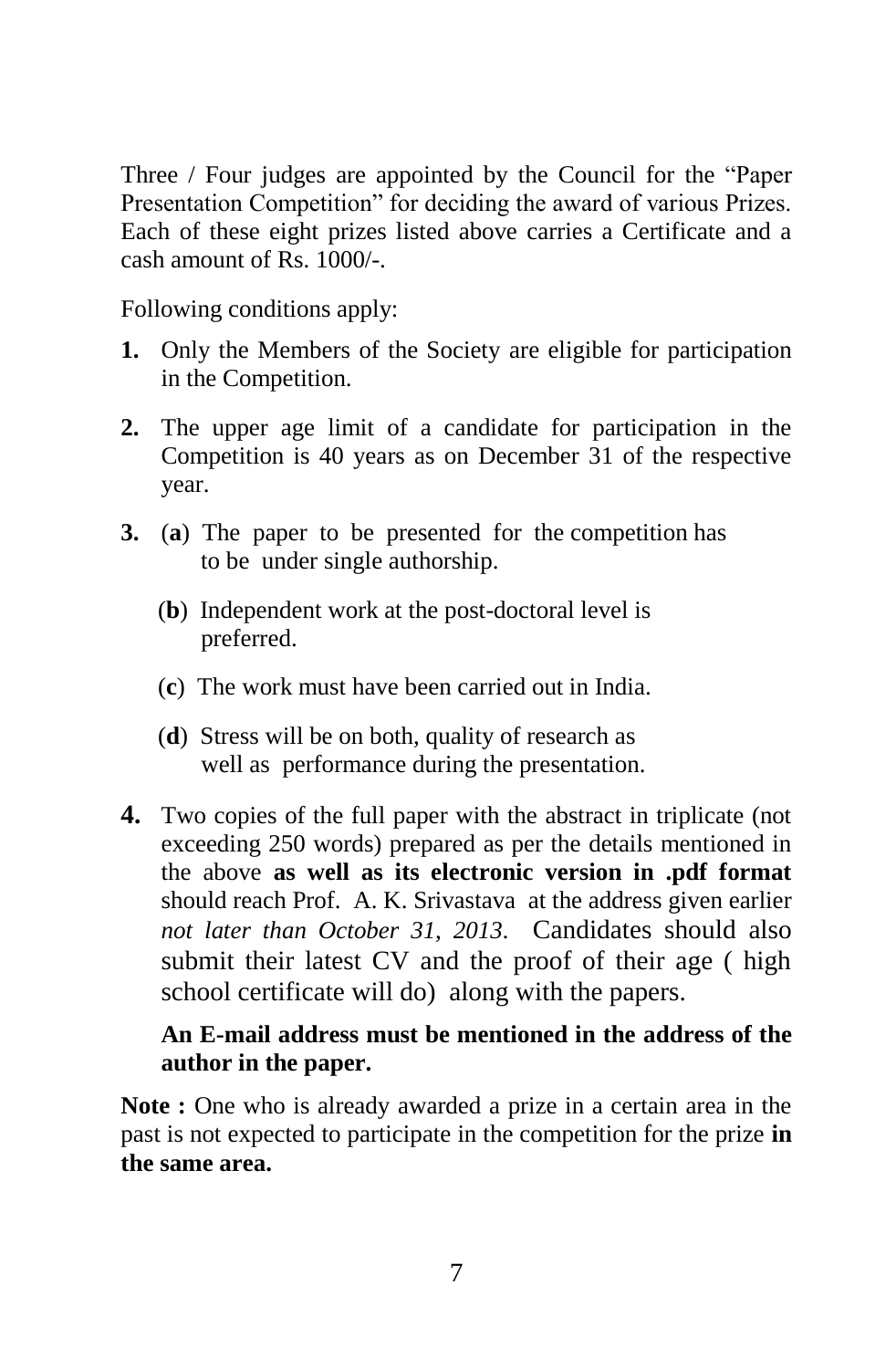Three / Four judges are appointed by the Council for the "Paper Presentation Competition" for deciding the award of various Prizes. Each of these eight prizes listed above carries a Certificate and a cash amount of Rs. 1000/-.

Following conditions apply:

- **1.** Only the Members of the Society are eligible for participation in the Competition.
- **2.** The upper age limit of a candidate for participation in the Competition is 40 years as on December 31 of the respective year.
- **3.** (**a**) The paper to be presented for the competition has to be under single authorship.
	- (**b**) Independent work at the post-doctoral level is preferred.
	- (**c**) The work must have been carried out in India.
	- (**d**) Stress will be on both, quality of research as well as performance during the presentation.
- **4.** Two copies of the full paper with the abstract in triplicate (not exceeding 250 words) prepared as per the details mentioned in the above **as well as its electronic version in .pdf format** should reach Prof. A. K. Srivastava at the address given earlier *not later than October 31, 2013.* Candidates should also submit their latest CV and the proof of their age ( high school certificate will do) along with the papers.

#### **An E-mail address must be mentioned in the address of the author in the paper.**

**Note :** One who is already awarded a prize in a certain area in the past is not expected to participate in the competition for the prize **in the same area.**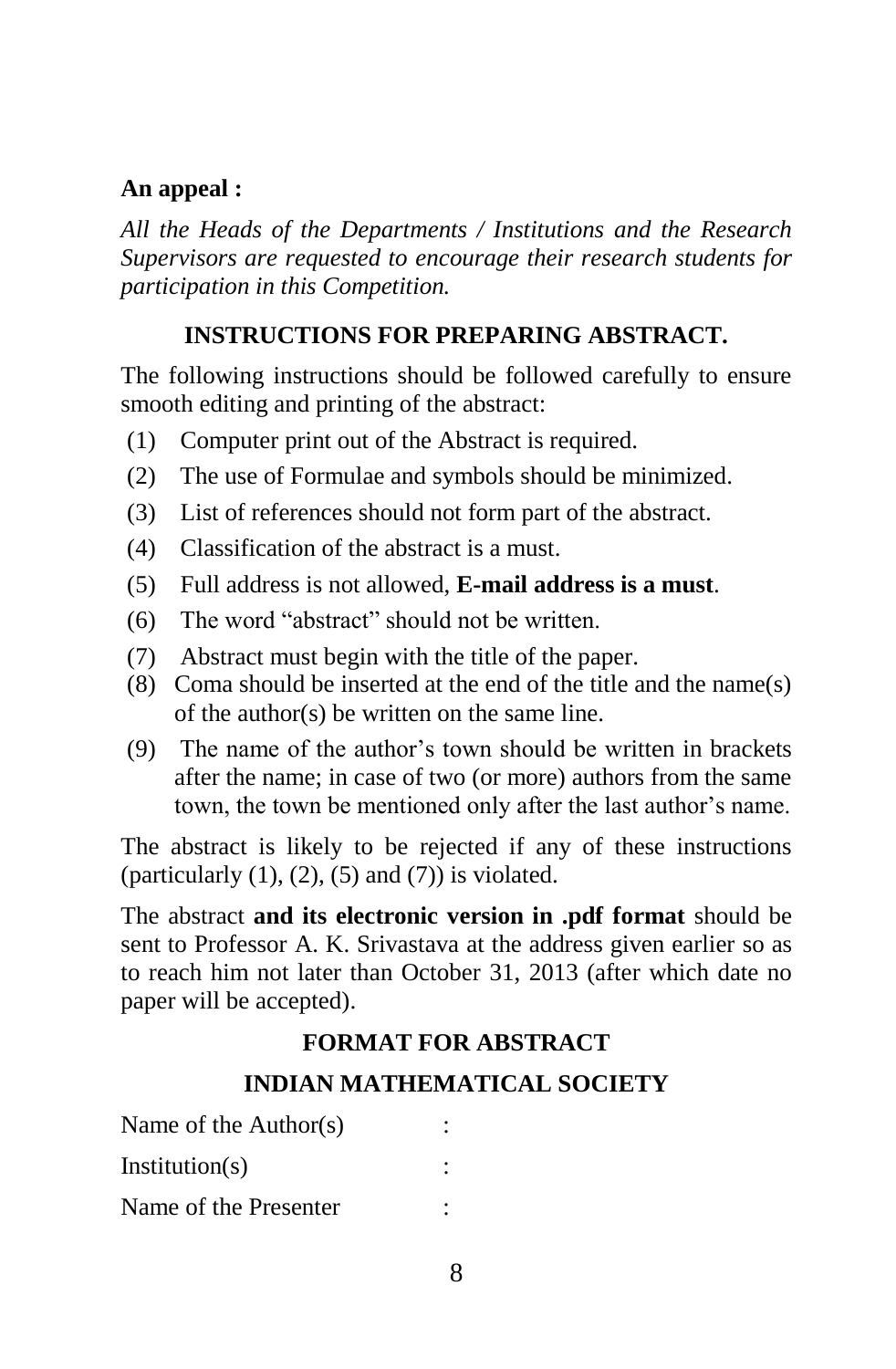#### **An appeal :**

*All the Heads of the Departments / Institutions and the Research Supervisors are requested to encourage their research students for participation in this Competition.*

#### **INSTRUCTIONS FOR PREPARING ABSTRACT.**

The following instructions should be followed carefully to ensure smooth editing and printing of the abstract:

- (1) Computer print out of the Abstract is required.
- (2) The use of Formulae and symbols should be minimized.
- (3) List of references should not form part of the abstract.
- (4) Classification of the abstract is a must.
- (5) Full address is not allowed, **E-mail address is a must**.
- (6) The word "abstract" should not be written.
- (7) Abstract must begin with the title of the paper.
- (8) Coma should be inserted at the end of the title and the name(s) of the author(s) be written on the same line.
- (9) The name of the author"s town should be written in brackets after the name; in case of two (or more) authors from the same town, the town be mentioned only after the last author's name.

The abstract is likely to be rejected if any of these instructions (particularly  $(1)$ ,  $(2)$ ,  $(5)$  and  $(7)$ ) is violated.

The abstract **and its electronic version in .pdf format** should be sent to Professor A. K. Srivastava at the address given earlier so as to reach him not later than October 31, 2013 (after which date no paper will be accepted).

#### **FORMAT FOR ABSTRACT**

#### **INDIAN MATHEMATICAL SOCIETY**

| Name of the Author(s) |  |  |
|-----------------------|--|--|
| Institution(s)        |  |  |
| Name of the Presenter |  |  |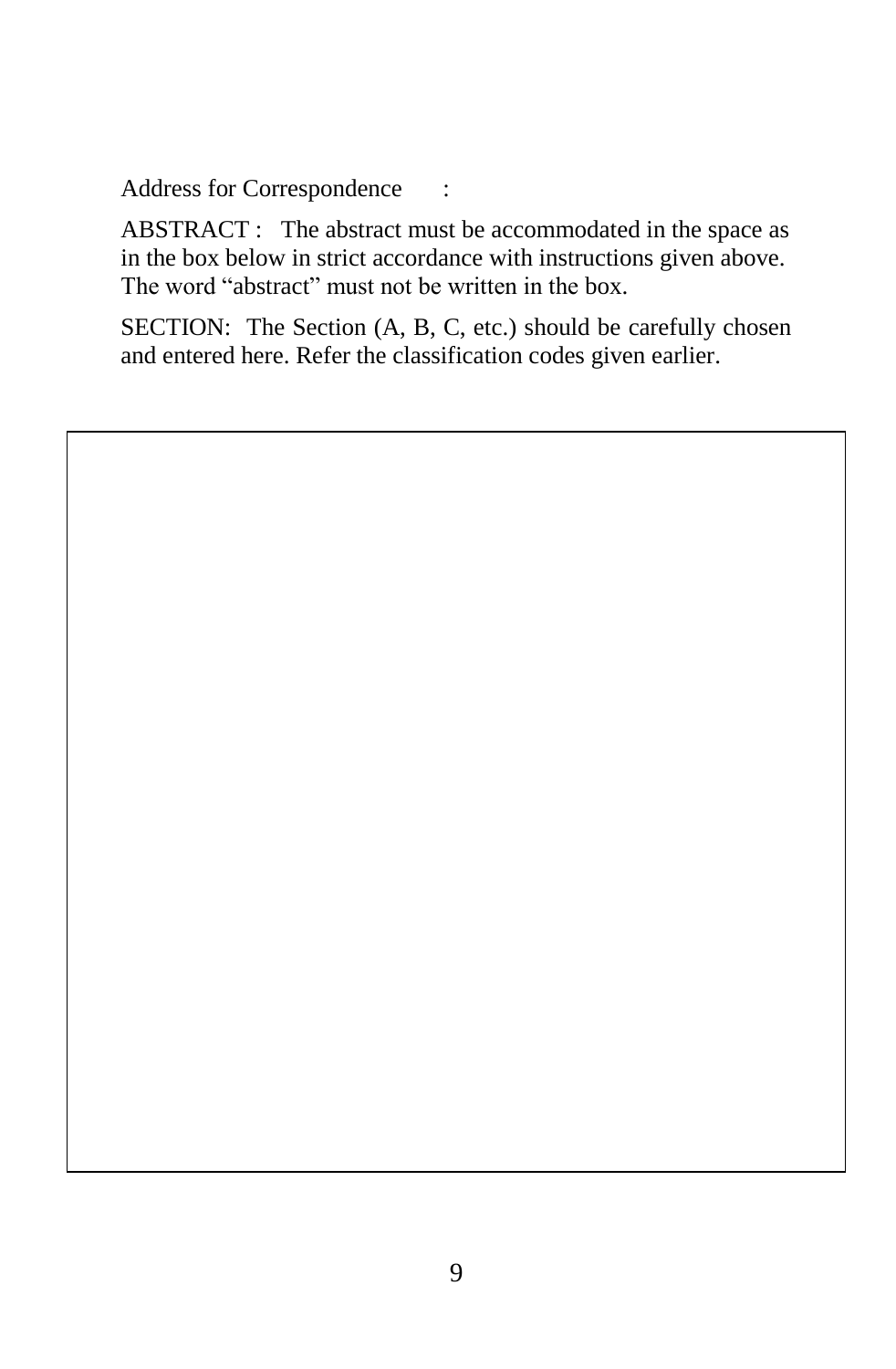Address for Correspondence :

ABSTRACT : The abstract must be accommodated in the space as in the box below in strict accordance with instructions given above. The word "abstract" must not be written in the box.

SECTION: The Section (A, B, C, etc.) should be carefully chosen and entered here. Refer the classification codes given earlier.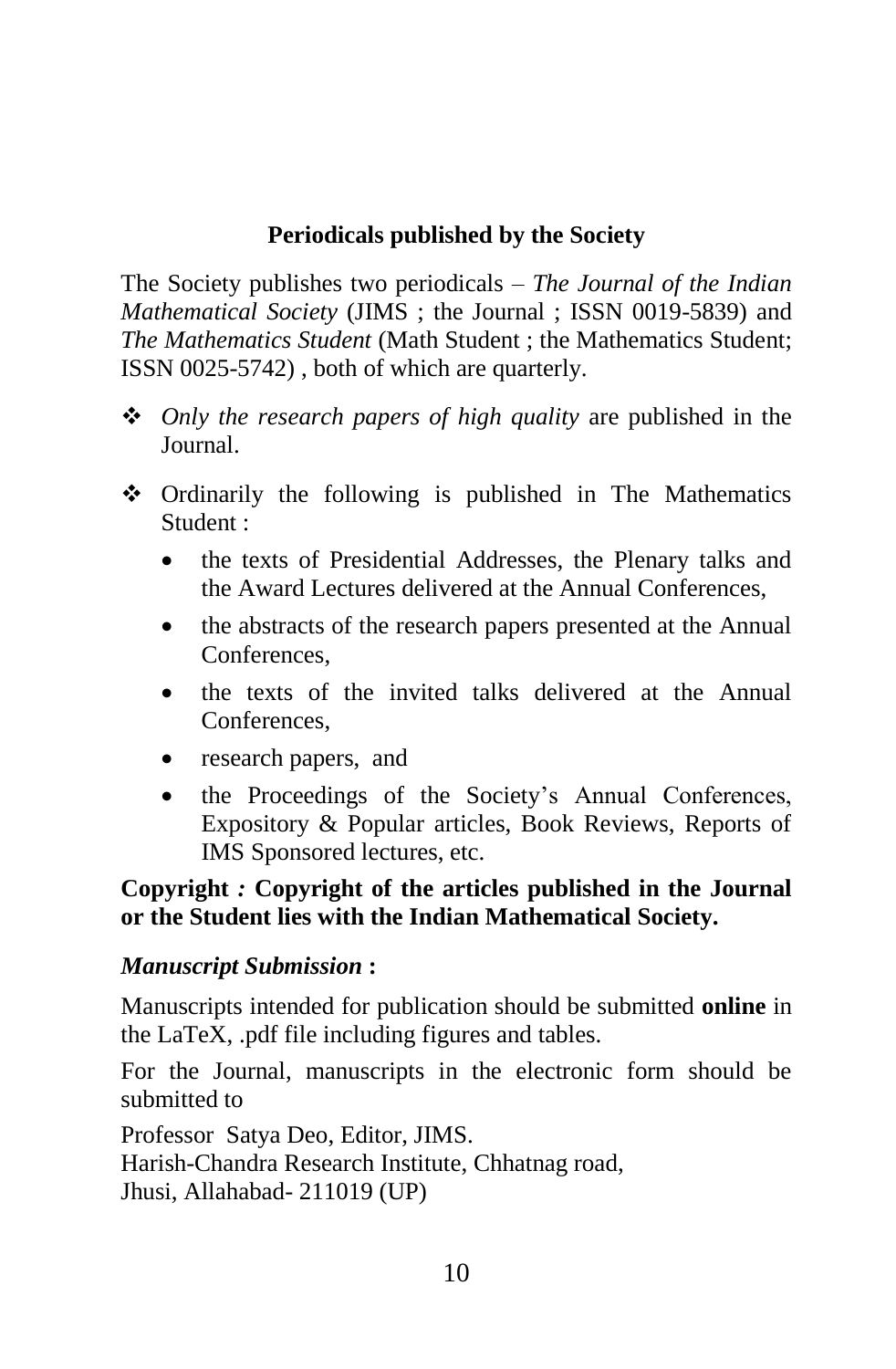# **Periodicals published by the Society**

The Society publishes two periodicals – *The Journal of the Indian Mathematical Society* (JIMS ; the Journal ; ISSN 0019-5839) and *The Mathematics Student* (Math Student ; the Mathematics Student; ISSN 0025-5742) , both of which are quarterly.

- *Only the research papers of high quality* are published in the Journal.
- Ordinarily the following is published in The Mathematics Student :
	- the texts of Presidential Addresses, the Plenary talks and the Award Lectures delivered at the Annual Conferences,
	- the abstracts of the research papers presented at the Annual Conferences,
	- the texts of the invited talks delivered at the Annual Conferences,
	- research papers, and
	- the Proceedings of the Society's Annual Conferences, Expository & Popular articles, Book Reviews, Reports of IMS Sponsored lectures, etc.

#### **Copyright** *:* **Copyright of the articles published in the Journal or the Student lies with the Indian Mathematical Society.**

#### *Manuscript Submission* **:**

Manuscripts intended for publication should be submitted **online** in the LaTeX, .pdf file including figures and tables.

For the Journal, manuscripts in the electronic form should be submitted to

Professor Satya Deo, Editor, JIMS. Harish-Chandra Research Institute, Chhatnag road, Jhusi, Allahabad- 211019 (UP)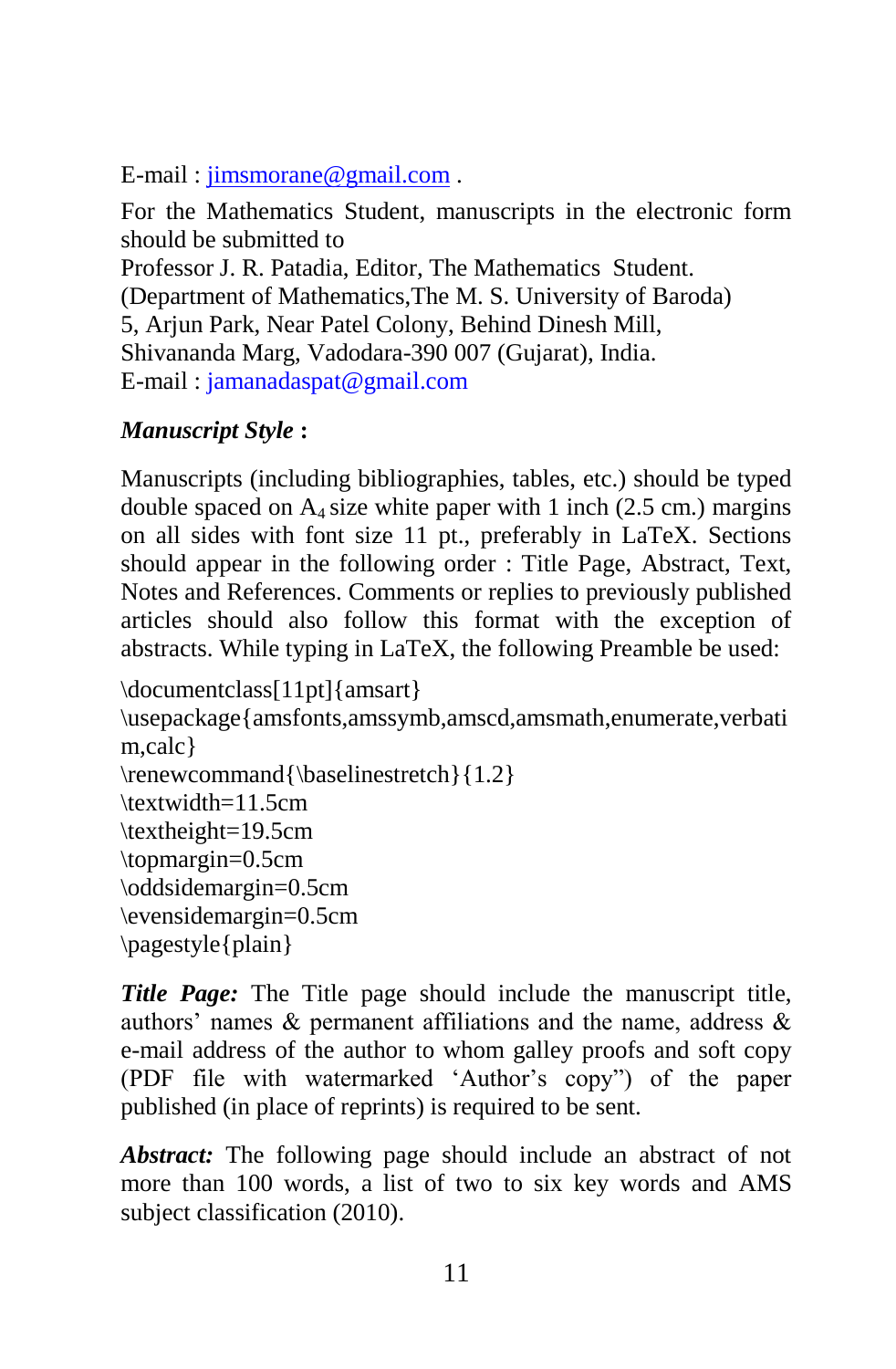E-mail : [jimsmorane@gmail.com](mailto:jimsmorane@gmail.com) .

For the Mathematics Student, manuscripts in the electronic form should be submitted to

Professor J. R. Patadia, Editor, The Mathematics Student. (Department of Mathematics,The M. S. University of Baroda) 5, Arjun Park, Near Patel Colony, Behind Dinesh Mill, Shivananda Marg, Vadodara-390 007 (Gujarat), India. E-mail : [jamanadaspat@gmail.com](mailto:jamanadaspat@gmail.com) 

# *Manuscript Style* **:**

Manuscripts (including bibliographies, tables, etc.) should be typed double spaced on  $A_4$  size white paper with 1 inch (2.5 cm.) margins on all sides with font size 11 pt., preferably in LaTeX. Sections should appear in the following order : Title Page, Abstract, Text, Notes and References. Comments or replies to previously published articles should also follow this format with the exception of abstracts. While typing in LaTeX, the following Preamble be used:

```
\documentclass[11pt]{amsart} 
\usepackage{amsfonts,amssymb,amscd,amsmath,enumerate,verbati
m,calc} 
\renewcommand{\baselinestretch}{1.2} 
\textwidth=11.5cm 
\textheight=19.5cm 
\topmargin=0.5cm 
\oddsidemargin=0.5cm 
\evensidemargin=0.5cm 
\pagestyle{plain}
```
*Title Page:* The Title page should include the manuscript title, authors' names  $\&$  permanent affiliations and the name, address  $\&$ e-mail address of the author to whom galley proofs and soft copy (PDF file with watermarked "Author"s copy") of the paper published (in place of reprints) is required to be sent.

*Abstract:* The following page should include an abstract of not more than 100 words, a list of two to six key words and AMS subject classification (2010).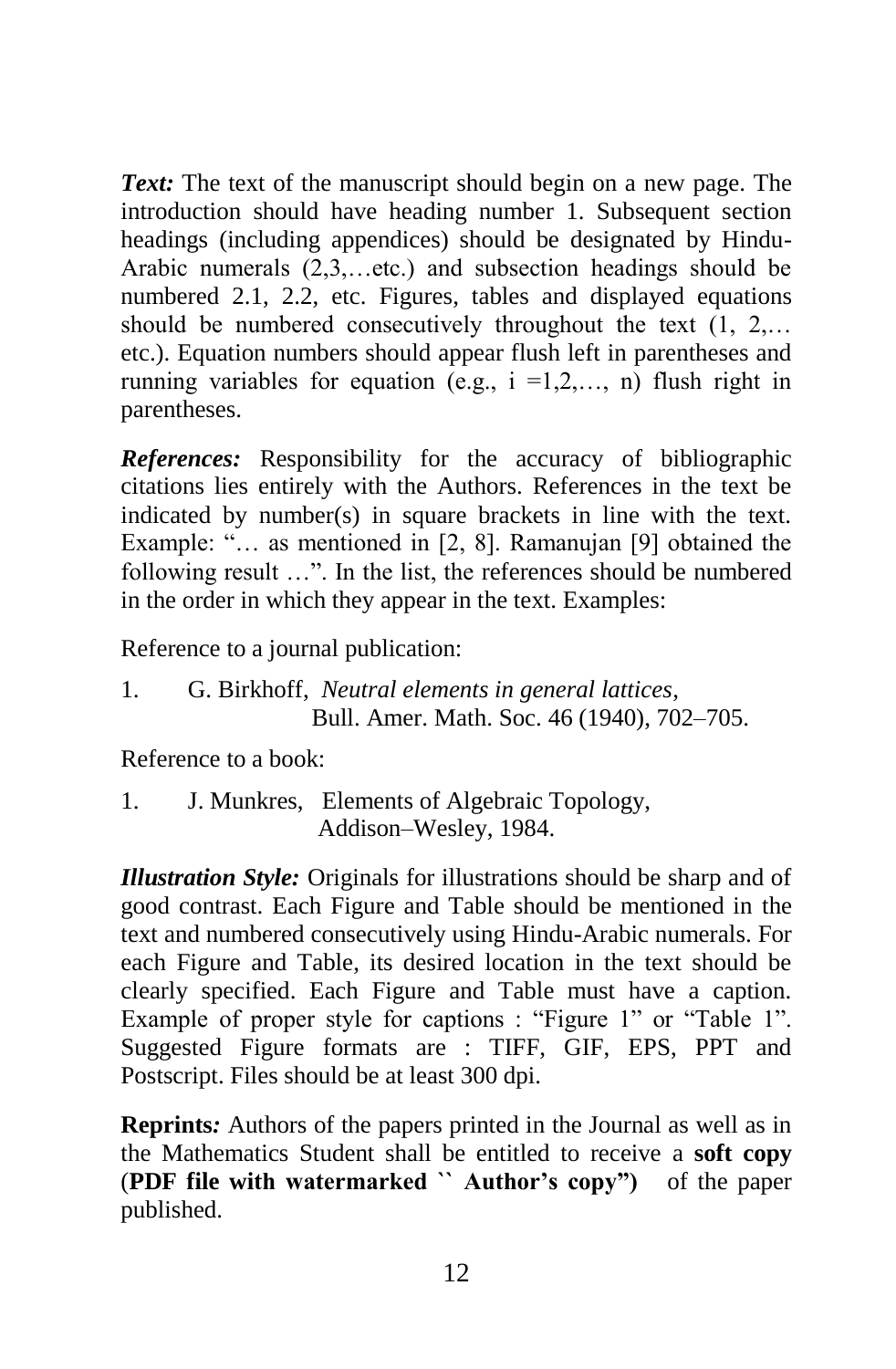*Text:* The text of the manuscript should begin on a new page. The introduction should have heading number 1. Subsequent section headings (including appendices) should be designated by Hindu-Arabic numerals (2,3,…etc.) and subsection headings should be numbered 2.1, 2.2, etc. Figures, tables and displayed equations should be numbered consecutively throughout the text (1, 2,… etc.). Equation numbers should appear flush left in parentheses and running variables for equation (e.g.,  $i = 1,2,..., n$ ) flush right in parentheses.

*References:* Responsibility for the accuracy of bibliographic citations lies entirely with the Authors. References in the text be indicated by number(s) in square brackets in line with the text. Example: "... as mentioned in [2, 8]. Ramanujan [9] obtained the following result …". In the list, the references should be numbered in the order in which they appear in the text. Examples:

Reference to a journal publication:

1. G. Birkhoff, *Neutral elements in general lattices*, Bull. Amer. Math. Soc. 46 (1940), 702–705.

Reference to a book:

1. J. Munkres, Elements of Algebraic Topology, Addison–Wesley, 1984.

*Illustration Style:* Originals for illustrations should be sharp and of good contrast. Each Figure and Table should be mentioned in the text and numbered consecutively using Hindu-Arabic numerals. For each Figure and Table, its desired location in the text should be clearly specified. Each Figure and Table must have a caption. Example of proper style for captions : "Figure 1" or "Table 1". Suggested Figure formats are : TIFF, GIF, EPS, PPT and Postscript. Files should be at least 300 dpi.

**Reprints***:* Authors of the papers printed in the Journal as well as in the Mathematics Student shall be entitled to receive a **soft copy** (**PDF file with watermarked `` Author's copy")** of the paper published.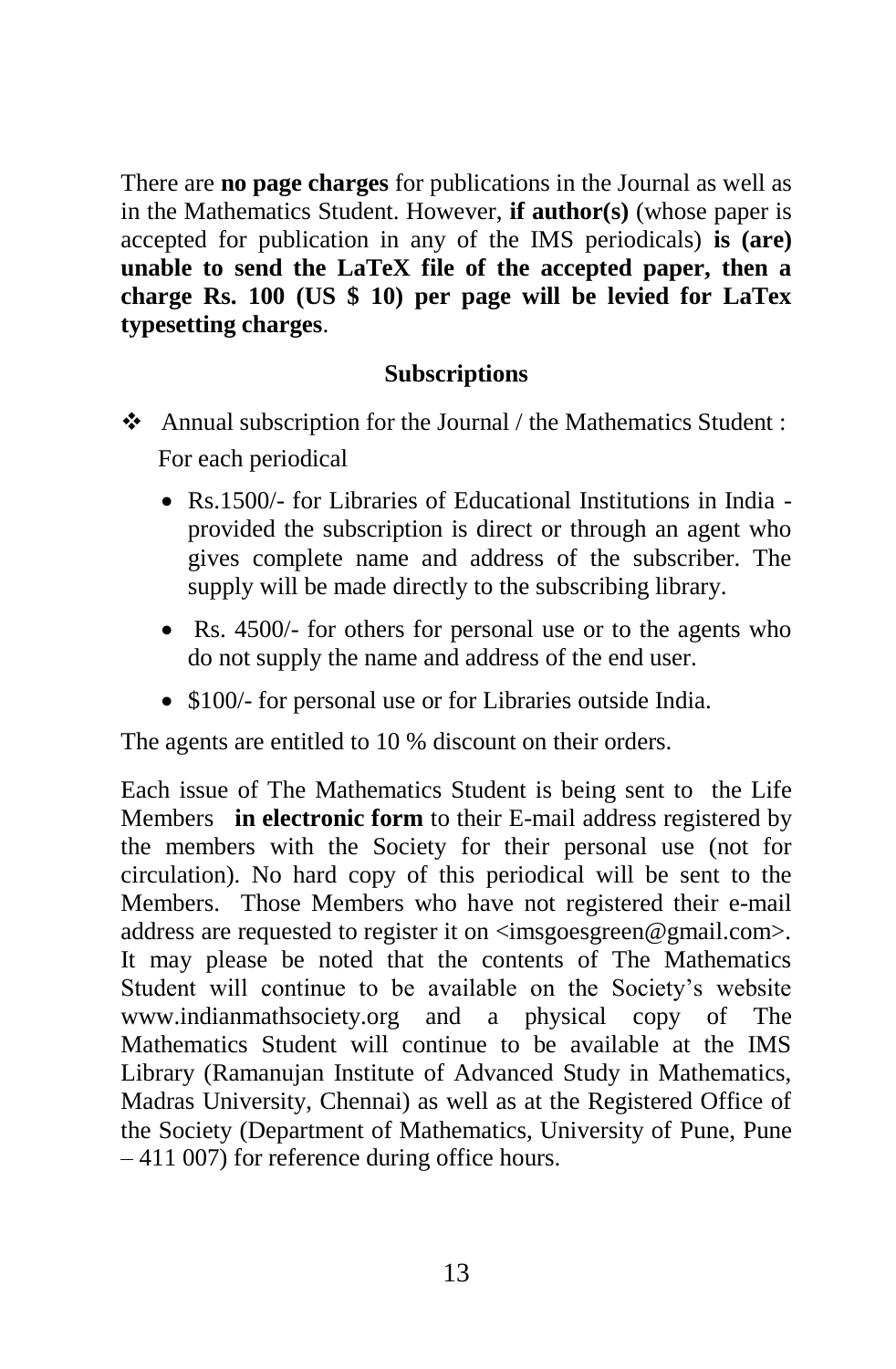There are **no page charges** for publications in the Journal as well as in the Mathematics Student. However, **if author(s)** (whose paper is accepted for publication in any of the IMS periodicals) **is (are) unable to send the LaTeX file of the accepted paper, then a charge Rs. 100 (US \$ 10) per page will be levied for LaTex typesetting charges**.

#### **Subscriptions**

- Annual subscription for the Journal / the Mathematics Student : For each periodical
	- Rs.1500/- for Libraries of Educational Institutions in India provided the subscription is direct or through an agent who gives complete name and address of the subscriber. The supply will be made directly to the subscribing library.
	- Rs. 4500/- for others for personal use or to the agents who do not supply the name and address of the end user.
	- \$100/- for personal use or for Libraries outside India.

The agents are entitled to 10 % discount on their orders.

Each issue of The Mathematics Student is being sent to the Life Members **in electronic form** to their E-mail address registered by the members with the Society for their personal use (not for circulation). No hard copy of this periodical will be sent to the Members. Those Members who have not registered their e-mail address are requested to register it on  $\langle \text{imsgoesgreen} \mathcal{Q} \text{gmail.com} \rangle$ . It may please be noted that the contents of The Mathematics Student will continue to be available on the Society"s website www.indianmathsociety.org and a physical copy of The Mathematics Student will continue to be available at the IMS Library (Ramanujan Institute of Advanced Study in Mathematics, Madras University, Chennai) as well as at the Registered Office of the Society (Department of Mathematics, University of Pune, Pune – 411 007) for reference during office hours.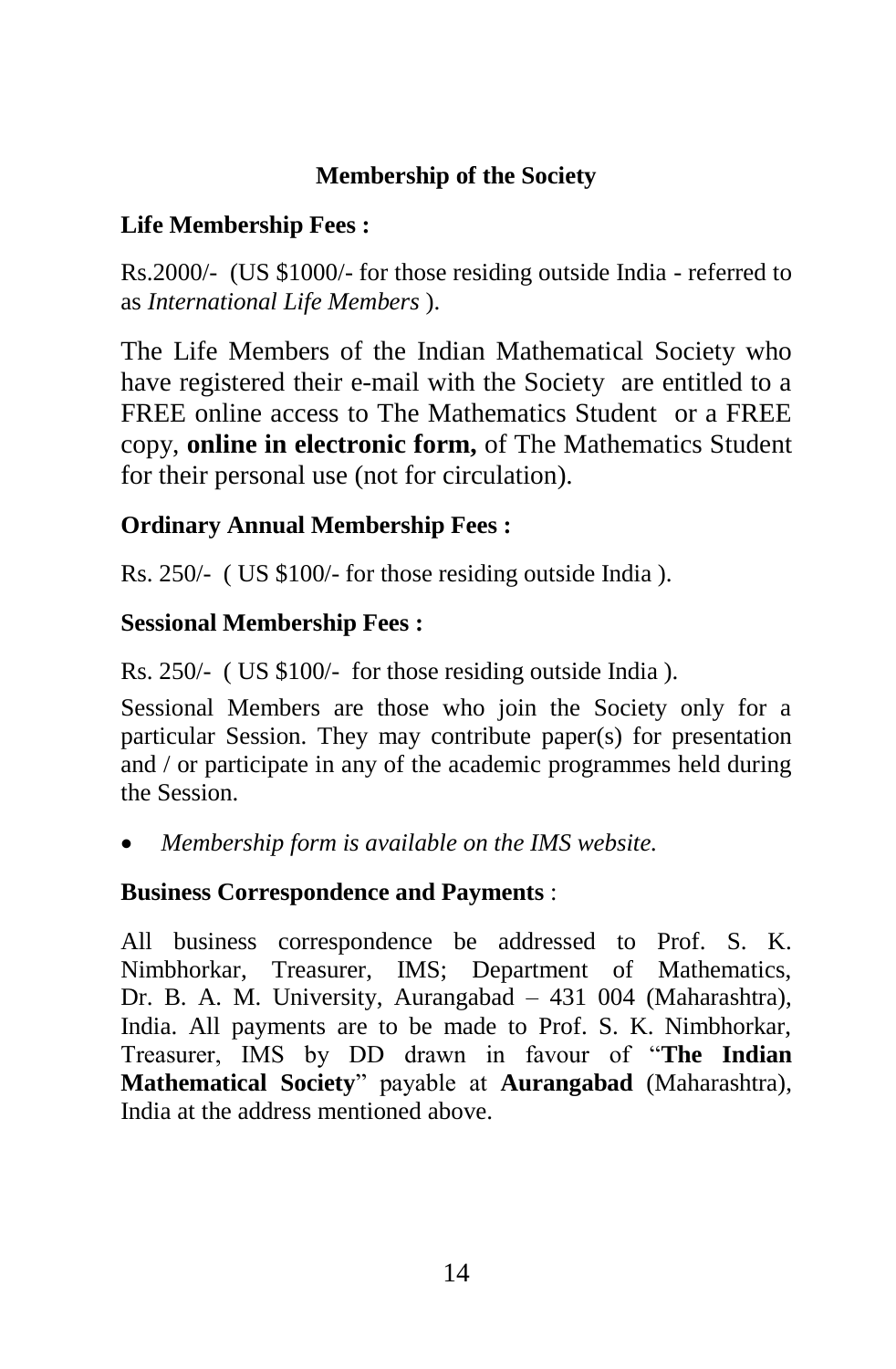# **Membership of the Society**

#### **Life Membership Fees :**

Rs.2000/- (US \$1000/- for those residing outside India - referred to as *International Life Members* ).

The Life Members of the Indian Mathematical Society who have registered their e-mail with the Society are entitled to a FREE online access to The Mathematics Student or a FREE copy, **online in electronic form,** of The Mathematics Student for their personal use (not for circulation).

# **Ordinary Annual Membership Fees :**

Rs. 250/- ( US \$100/- for those residing outside India ).

# **Sessional Membership Fees :**

Rs. 250/- ( US \$100/- for those residing outside India ).

Sessional Members are those who join the Society only for a particular Session. They may contribute paper(s) for presentation and / or participate in any of the academic programmes held during the Session.

*Membership form is available on the IMS website.*

#### **Business Correspondence and Payments** :

All business correspondence be addressed to Prof. S. K. Nimbhorkar, Treasurer, IMS; Department of Mathematics, Dr. B. A. M. University, Aurangabad – 431 004 (Maharashtra), India. All payments are to be made to Prof. S. K. Nimbhorkar, Treasurer, IMS by DD drawn in favour of "**The Indian Mathematical Society**" payable at **Aurangabad** (Maharashtra), India at the address mentioned above.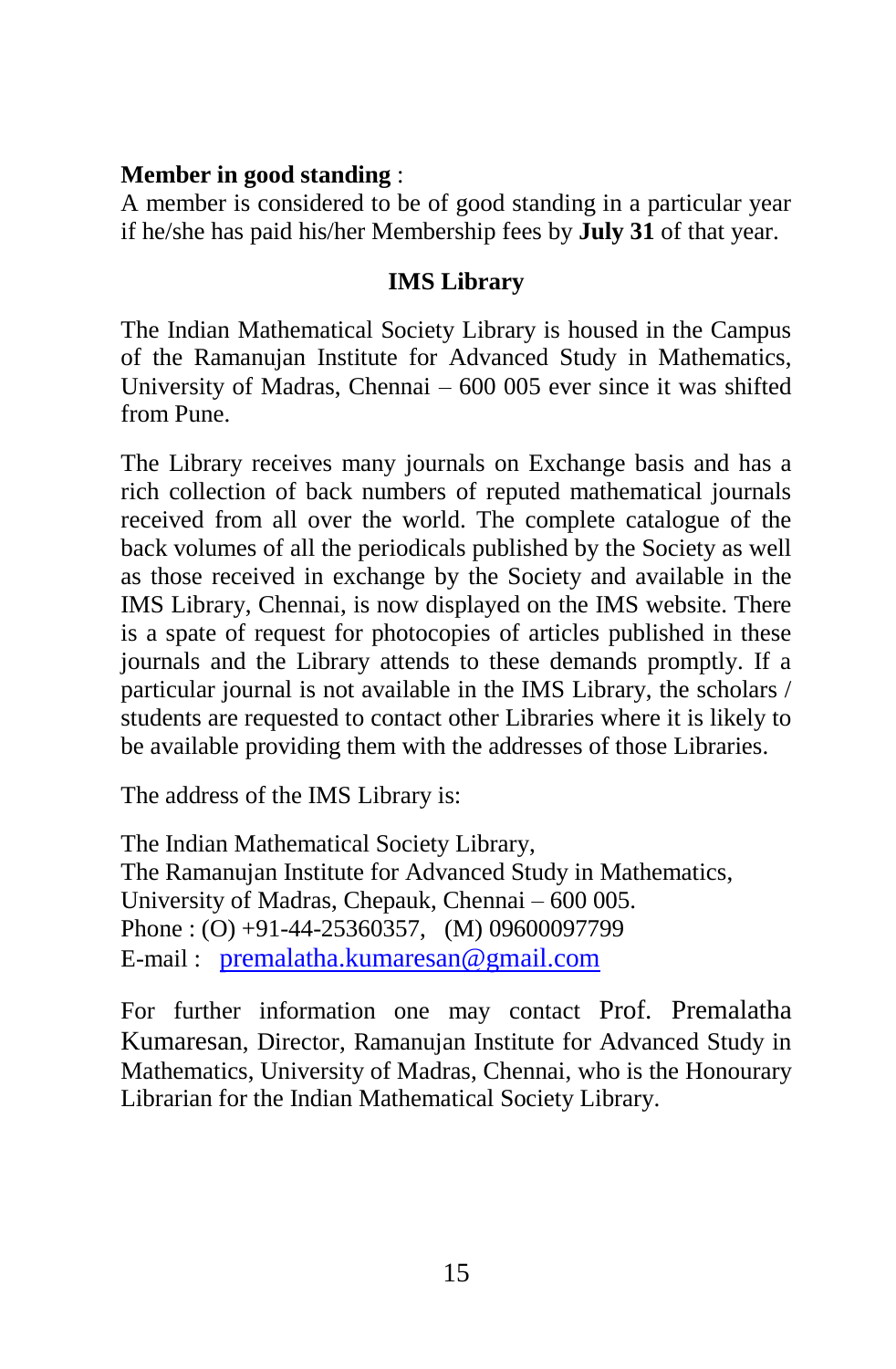#### **Member in good standing** :

A member is considered to be of good standing in a particular year if he/she has paid his/her Membership fees by **July 31** of that year.

#### **IMS Library**

The Indian Mathematical Society Library is housed in the Campus of the Ramanujan Institute for Advanced Study in Mathematics, University of Madras, Chennai – 600 005 ever since it was shifted from Pune.

The Library receives many journals on Exchange basis and has a rich collection of back numbers of reputed mathematical journals received from all over the world. The complete catalogue of the back volumes of all the periodicals published by the Society as well as those received in exchange by the Society and available in the IMS Library, Chennai, is now displayed on the IMS website. There is a spate of request for photocopies of articles published in these journals and the Library attends to these demands promptly. If a particular journal is not available in the IMS Library, the scholars / students are requested to contact other Libraries where it is likely to be available providing them with the addresses of those Libraries.

The address of the IMS Library is:

The Indian Mathematical Society Library, The Ramanujan Institute for Advanced Study in Mathematics, University of Madras, Chepauk, Chennai – 600 005. Phone : (O) +91-44-25360357, (M) 09600097799 E-mail : [premalatha.kumaresan@gmail.com](mailto:premalatha.kumaresan@gmail.com)

For further information one may contact Prof. Premalatha Kumaresan, Director, Ramanujan Institute for Advanced Study in Mathematics, University of Madras, Chennai, who is the Honourary Librarian for the Indian Mathematical Society Library.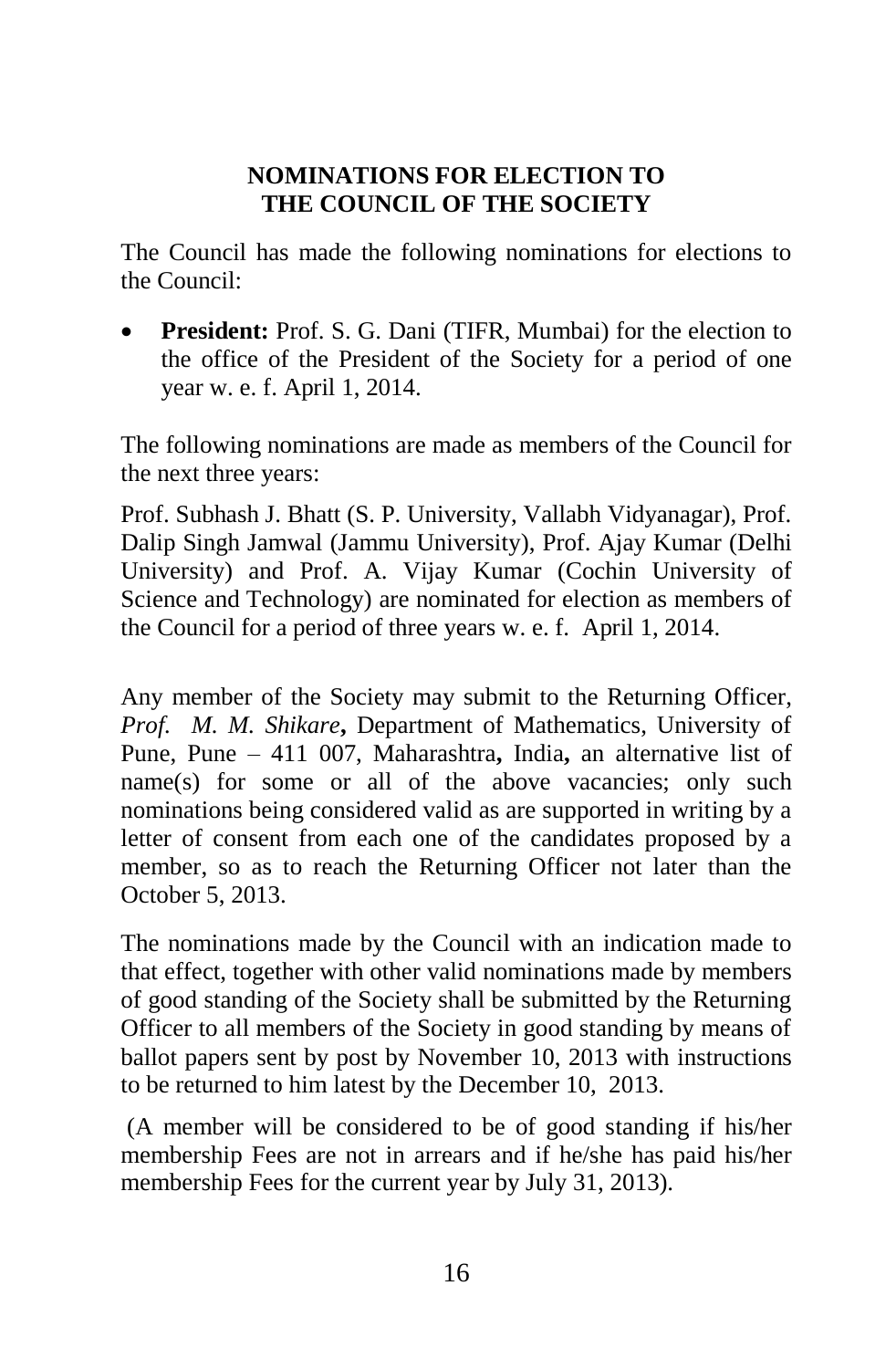#### **NOMINATIONS FOR ELECTION TO THE COUNCIL OF THE SOCIETY**

The Council has made the following nominations for elections to the Council:

 **President:** Prof. S. G. Dani (TIFR, Mumbai) for the election to the office of the President of the Society for a period of one year w. e. f. April 1, 2014.

The following nominations are made as members of the Council for the next three years:

Prof. Subhash J. Bhatt (S. P. University, Vallabh Vidyanagar), Prof. Dalip Singh Jamwal (Jammu University), Prof. Ajay Kumar (Delhi University) and Prof. A. Vijay Kumar (Cochin University of Science and Technology) are nominated for election as members of the Council for a period of three years w. e. f. April 1, 2014.

Any member of the Society may submit to the Returning Officer, *Prof. M. M. Shikare***,** Department of Mathematics, University of Pune, Pune – 411 007, Maharashtra**,** India**,** an alternative list of name(s) for some or all of the above vacancies; only such nominations being considered valid as are supported in writing by a letter of consent from each one of the candidates proposed by a member, so as to reach the Returning Officer not later than the October 5, 2013.

The nominations made by the Council with an indication made to that effect, together with other valid nominations made by members of good standing of the Society shall be submitted by the Returning Officer to all members of the Society in good standing by means of ballot papers sent by post by November 10, 2013 with instructions to be returned to him latest by the December 10, 2013.

(A member will be considered to be of good standing if his/her membership Fees are not in arrears and if he/she has paid his/her membership Fees for the current year by July 31, 2013).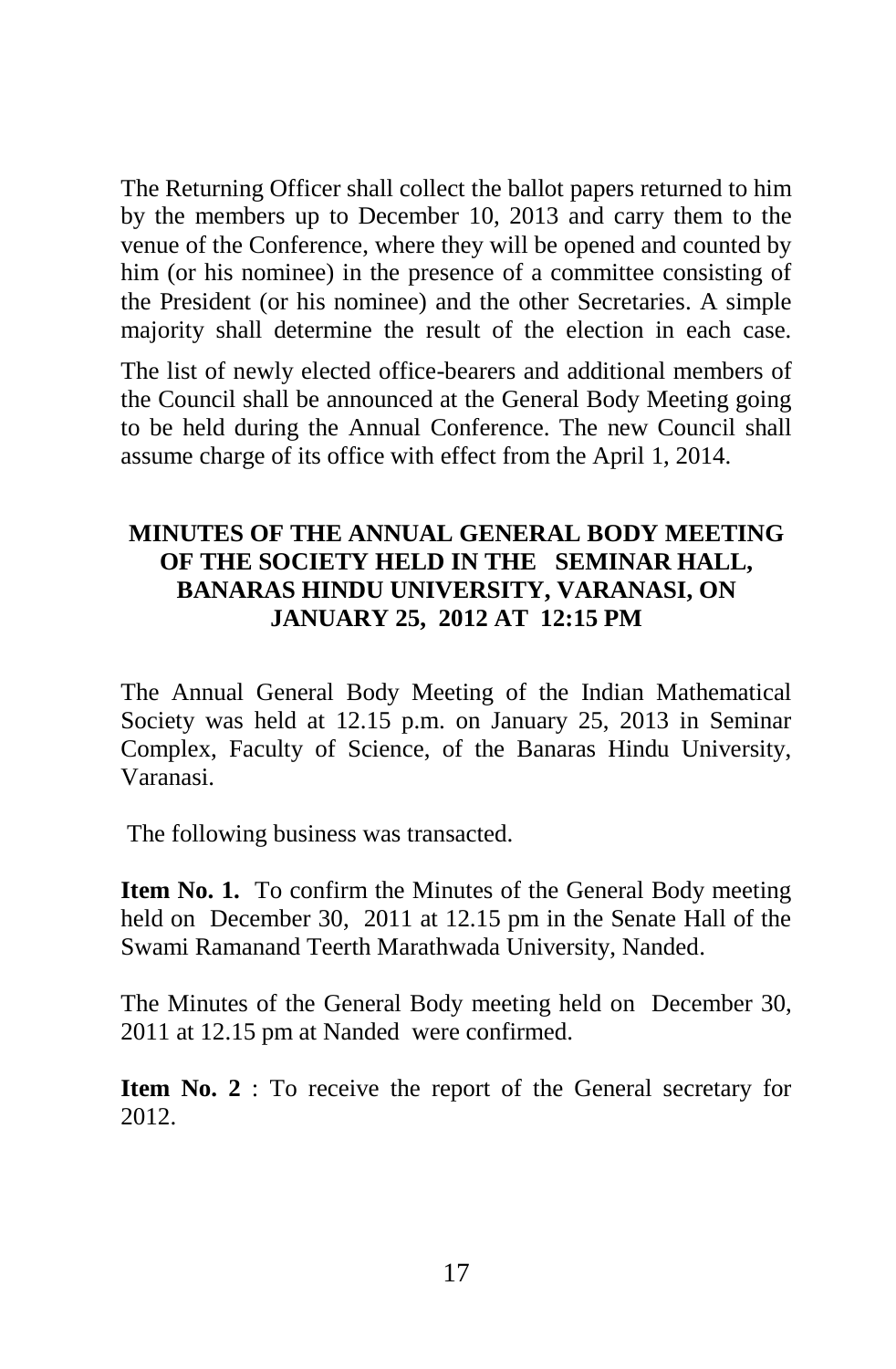The Returning Officer shall collect the ballot papers returned to him by the members up to December 10, 2013 and carry them to the venue of the Conference, where they will be opened and counted by him (or his nominee) in the presence of a committee consisting of the President (or his nominee) and the other Secretaries. A simple majority shall determine the result of the election in each case.

The list of newly elected office-bearers and additional members of the Council shall be announced at the General Body Meeting going to be held during the Annual Conference. The new Council shall assume charge of its office with effect from the April 1, 2014.

#### **MINUTES OF THE ANNUAL GENERAL BODY MEETING OF THE SOCIETY HELD IN THE SEMINAR HALL, BANARAS HINDU UNIVERSITY, VARANASI, ON JANUARY 25, 2012 AT 12:15 PM**

The Annual General Body Meeting of the Indian Mathematical Society was held at 12.15 p.m. on January 25, 2013 in Seminar Complex, Faculty of Science, of the Banaras Hindu University, Varanasi.

The following business was transacted.

**Item No. 1.** To confirm the Minutes of the General Body meeting held on December 30, 2011 at 12.15 pm in the Senate Hall of the Swami Ramanand Teerth Marathwada University, Nanded.

The Minutes of the General Body meeting held on December 30, 2011 at 12.15 pm at Nanded were confirmed.

**Item No. 2** : To receive the report of the General secretary for 2012.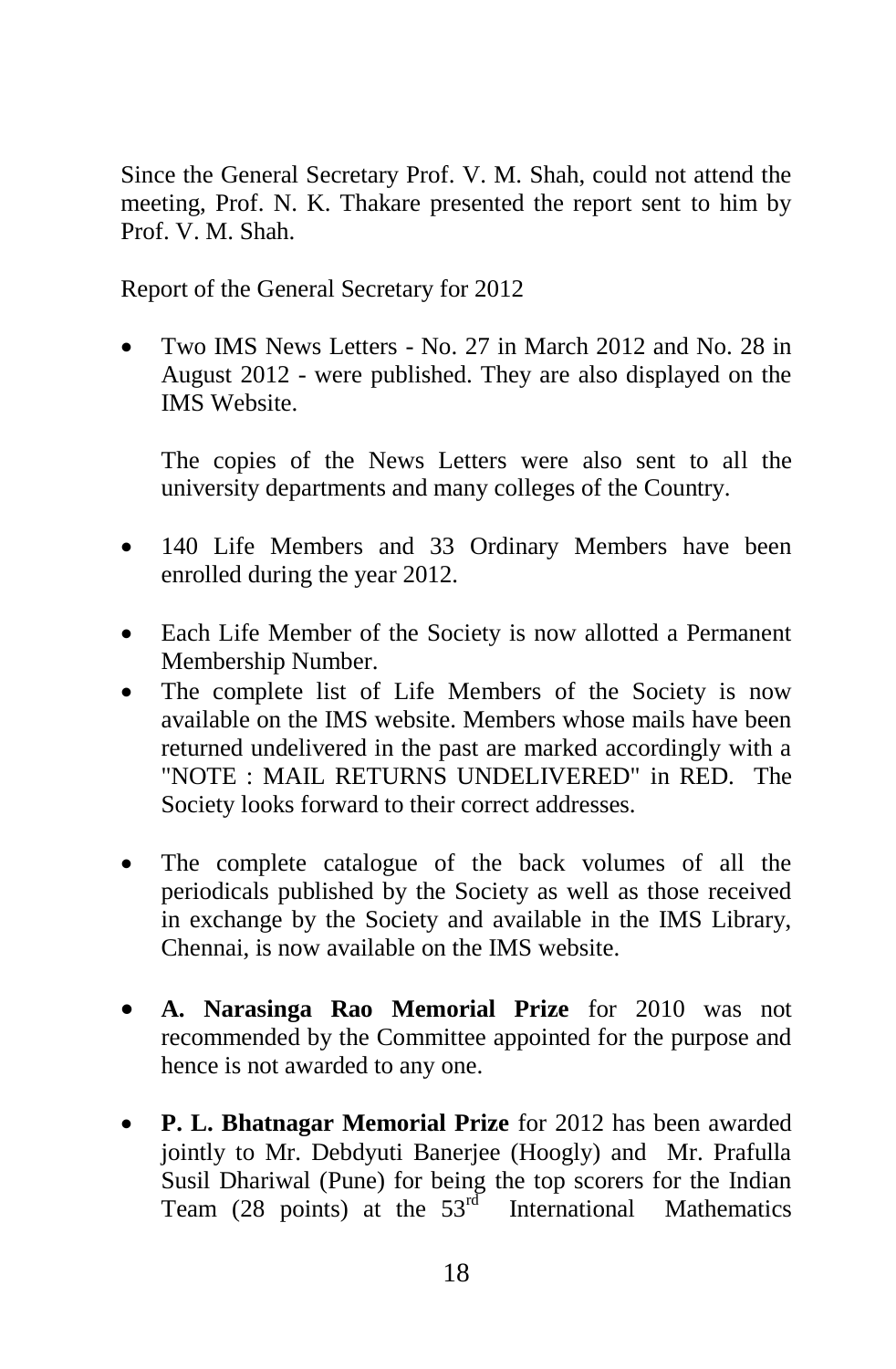Since the General Secretary Prof. V. M. Shah, could not attend the meeting, Prof. N. K. Thakare presented the report sent to him by Prof. V. M. Shah.

Report of the General Secretary for 2012

 Two IMS News Letters - No. 27 in March 2012 and No. 28 in August 2012 - were published. They are also displayed on the IMS Website.

The copies of the News Letters were also sent to all the university departments and many colleges of the Country.

- 140 Life Members and 33 Ordinary Members have been enrolled during the year 2012.
- Each Life Member of the Society is now allotted a Permanent Membership Number.
- The complete list of Life Members of the Society is now available on the IMS website. Members whose mails have been returned undelivered in the past are marked accordingly with a "NOTE : MAIL RETURNS UNDELIVERED" in RED. The Society looks forward to their correct addresses.
- The complete catalogue of the back volumes of all the periodicals published by the Society as well as those received in exchange by the Society and available in the IMS Library, Chennai, is now available on the IMS website.
- **A. Narasinga Rao Memorial Prize** for 2010 was not recommended by the Committee appointed for the purpose and hence is not awarded to any one.
- **P. L. Bhatnagar Memorial Prize** for 2012 has been awarded jointly to Mr. Debdyuti Banerjee (Hoogly) and Mr. Prafulla Susil Dhariwal (Pune) for being the top scorers for the Indian Team (28 points) at the  $53<sup>rd</sup>$  International Mathematics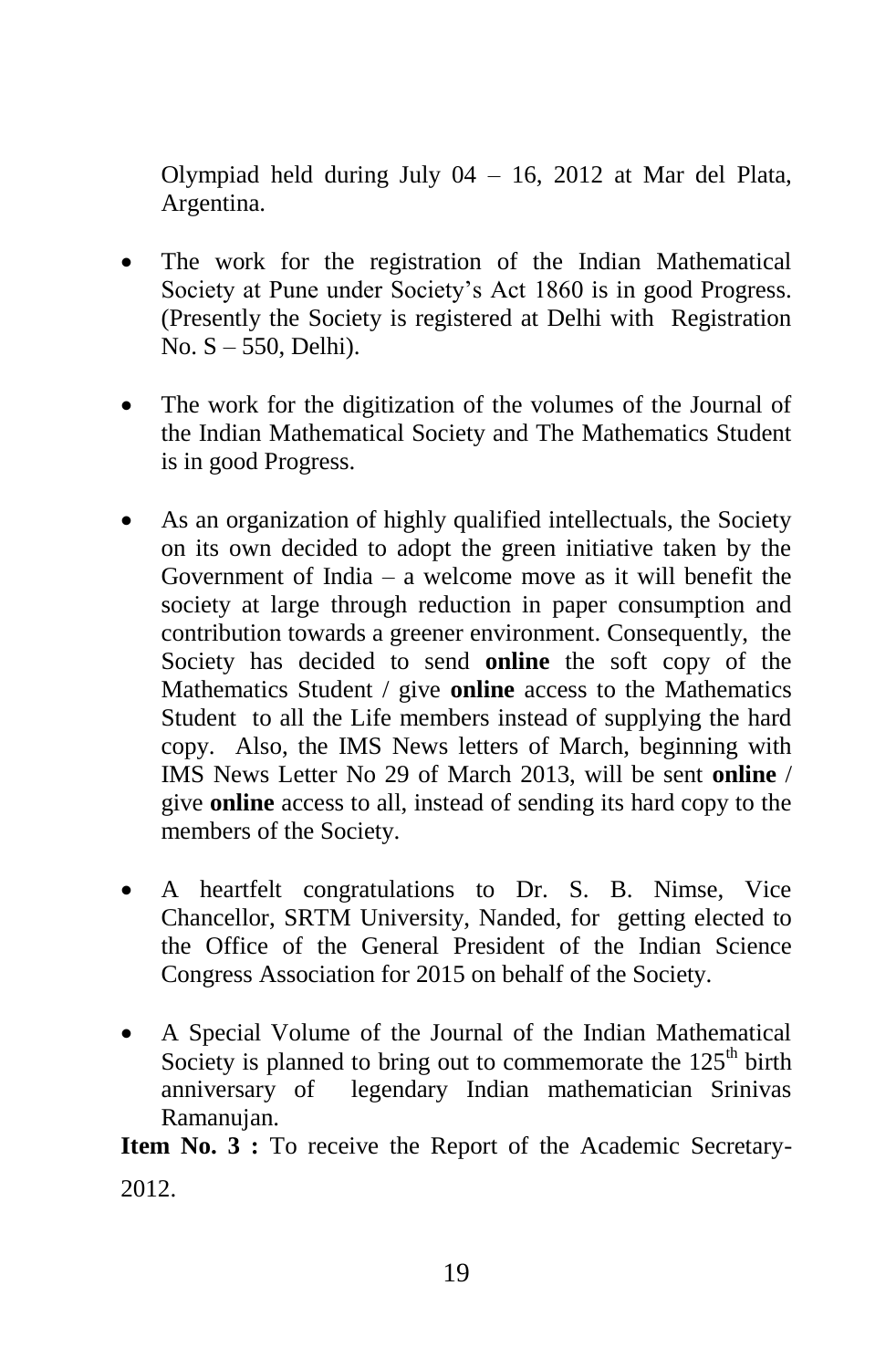Olympiad held during July 04 – 16, 2012 at Mar del Plata, Argentina.

- The work for the registration of the Indian Mathematical Society at Pune under Society"s Act 1860 is in good Progress. (Presently the Society is registered at Delhi with Registration No. S – 550, Delhi).
- The work for the digitization of the volumes of the Journal of the Indian Mathematical Society and The Mathematics Student is in good Progress.
- As an organization of highly qualified intellectuals, the Society on its own decided to adopt the green initiative taken by the Government of India – a welcome move as it will benefit the society at large through reduction in paper consumption and contribution towards a greener environment. Consequently, the Society has decided to send **online** the soft copy of the Mathematics Student / give **online** access to the Mathematics Student to all the Life members instead of supplying the hard copy. Also, the IMS News letters of March, beginning with IMS News Letter No 29 of March 2013, will be sent **online** / give **online** access to all, instead of sending its hard copy to the members of the Society.
- A heartfelt congratulations to Dr. S. B. Nimse, Vice Chancellor, SRTM University, Nanded, for getting elected to the Office of the General President of the Indian Science Congress Association for 2015 on behalf of the Society.
- A Special Volume of the Journal of the Indian Mathematical Society is planned to bring out to commemorate the  $125<sup>th</sup>$  birth anniversary of legendary Indian mathematician Srinivas Ramanujan.

**Item No. 3 :** To receive the Report of the Academic Secretary-2012.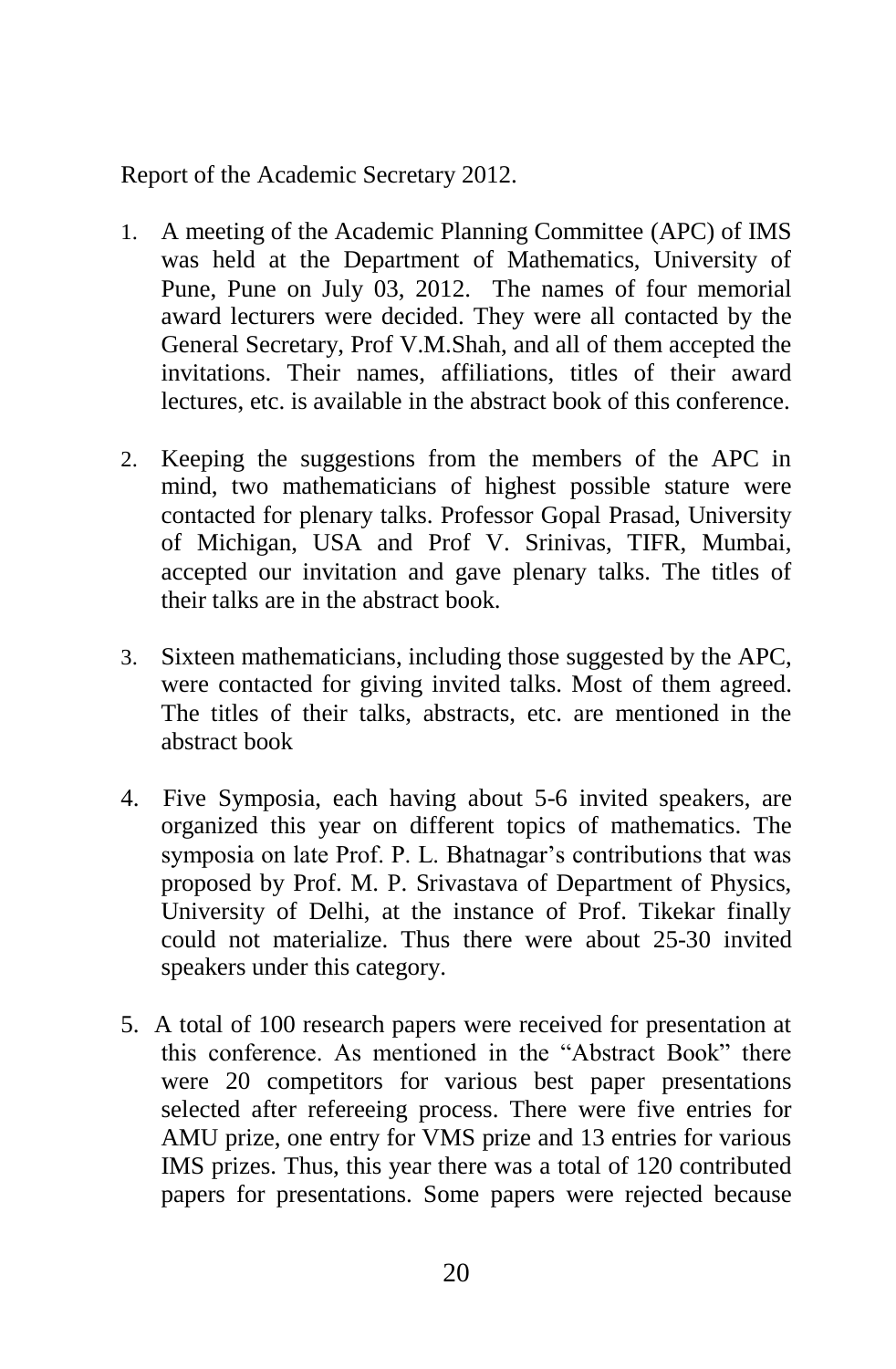Report of the Academic Secretary 2012.

- 1. A meeting of the Academic Planning Committee (APC) of IMS was held at the Department of Mathematics, University of Pune, Pune on July 03, 2012. The names of four memorial award lecturers were decided. They were all contacted by the General Secretary, Prof V.M.Shah, and all of them accepted the invitations. Their names, affiliations, titles of their award lectures, etc. is available in the abstract book of this conference.
- 2. Keeping the suggestions from the members of the APC in mind, two mathematicians of highest possible stature were contacted for plenary talks. Professor Gopal Prasad, University of Michigan, USA and Prof V. Srinivas, TIFR, Mumbai, accepted our invitation and gave plenary talks. The titles of their talks are in the abstract book.
- 3. Sixteen mathematicians, including those suggested by the APC, were contacted for giving invited talks. Most of them agreed. The titles of their talks, abstracts, etc. are mentioned in the abstract book
- 4. Five Symposia, each having about 5-6 invited speakers, are organized this year on different topics of mathematics. The symposia on late Prof. P. L. Bhatnagar's contributions that was proposed by Prof. M. P. Srivastava of Department of Physics, University of Delhi, at the instance of Prof. Tikekar finally could not materialize. Thus there were about 25-30 invited speakers under this category.
- 5. A total of 100 research papers were received for presentation at this conference. As mentioned in the "Abstract Book" there were 20 competitors for various best paper presentations selected after refereeing process. There were five entries for AMU prize, one entry for VMS prize and 13 entries for various IMS prizes. Thus, this year there was a total of 120 contributed papers for presentations. Some papers were rejected because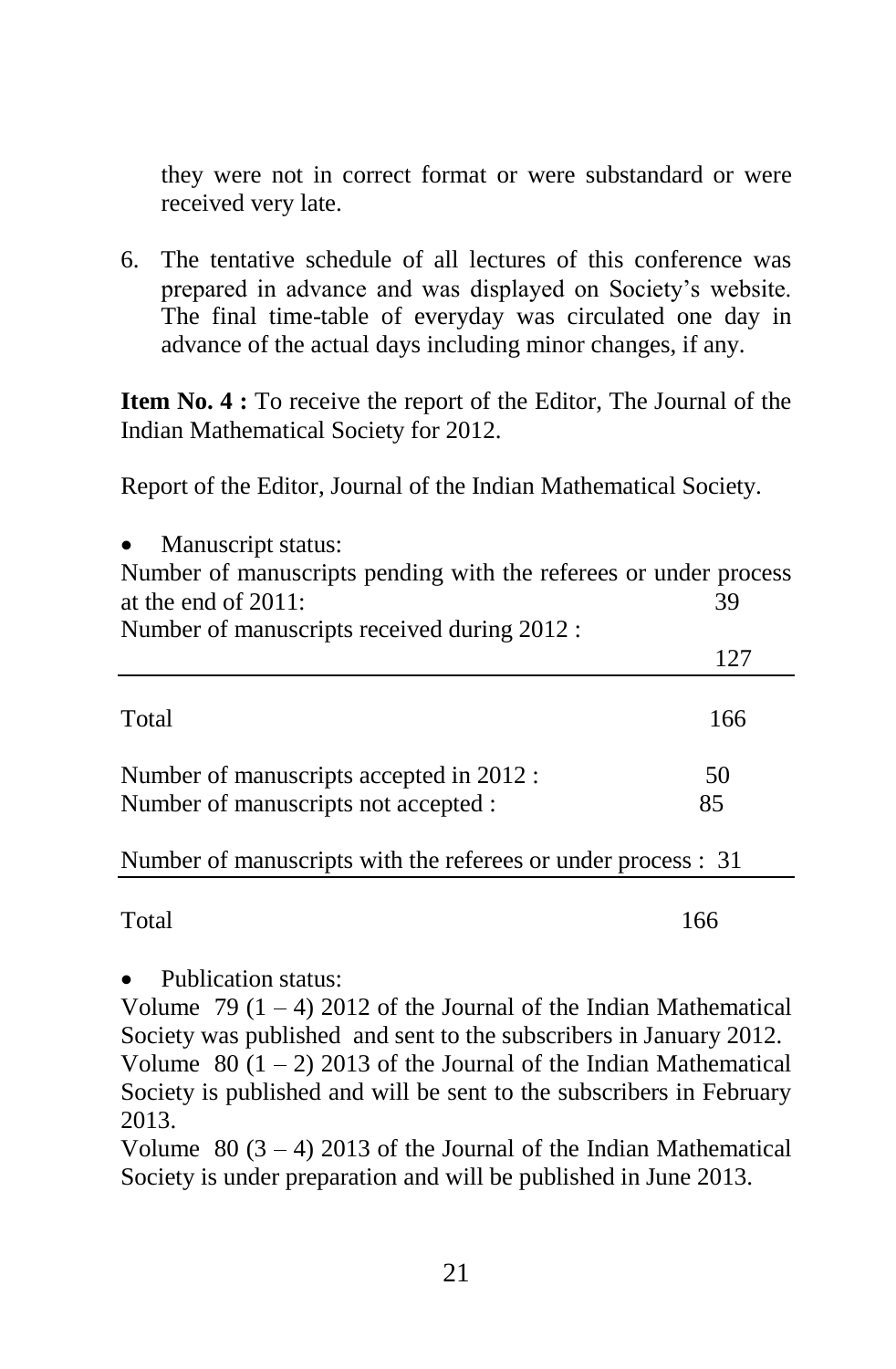they were not in correct format or were substandard or were received very late.

6. The tentative schedule of all lectures of this conference was prepared in advance and was displayed on Society"s website. The final time-table of everyday was circulated one day in advance of the actual days including minor changes, if any.

**Item No. 4 :** To receive the report of the Editor, The Journal of the Indian Mathematical Society for 2012.

Report of the Editor, Journal of the Indian Mathematical Society.

| Manuscript status:<br>$\bullet$<br>Number of manuscripts pending with the referees or under process<br>at the end of $2011$ :<br>Number of manuscripts received during 2012 : | 39  |
|-------------------------------------------------------------------------------------------------------------------------------------------------------------------------------|-----|
|                                                                                                                                                                               | 127 |
| Total                                                                                                                                                                         | 166 |
| Number of manuscripts accepted in 2012 :                                                                                                                                      | 50  |
| Number of manuscripts not accepted :                                                                                                                                          | 85  |
| Number of manuscripts with the referees or under process : 31                                                                                                                 |     |

Total 166

Publication status:

Volume 79  $(1 - 4)$  2012 of the Journal of the Indian Mathematical Society was published and sent to the subscribers in January 2012. Volume  $80$  (1 – 2) 2013 of the Journal of the Indian Mathematical Society is published and will be sent to the subscribers in February 2013.

Volume  $80 (3 - 4) 2013$  of the Journal of the Indian Mathematical Society is under preparation and will be published in June 2013.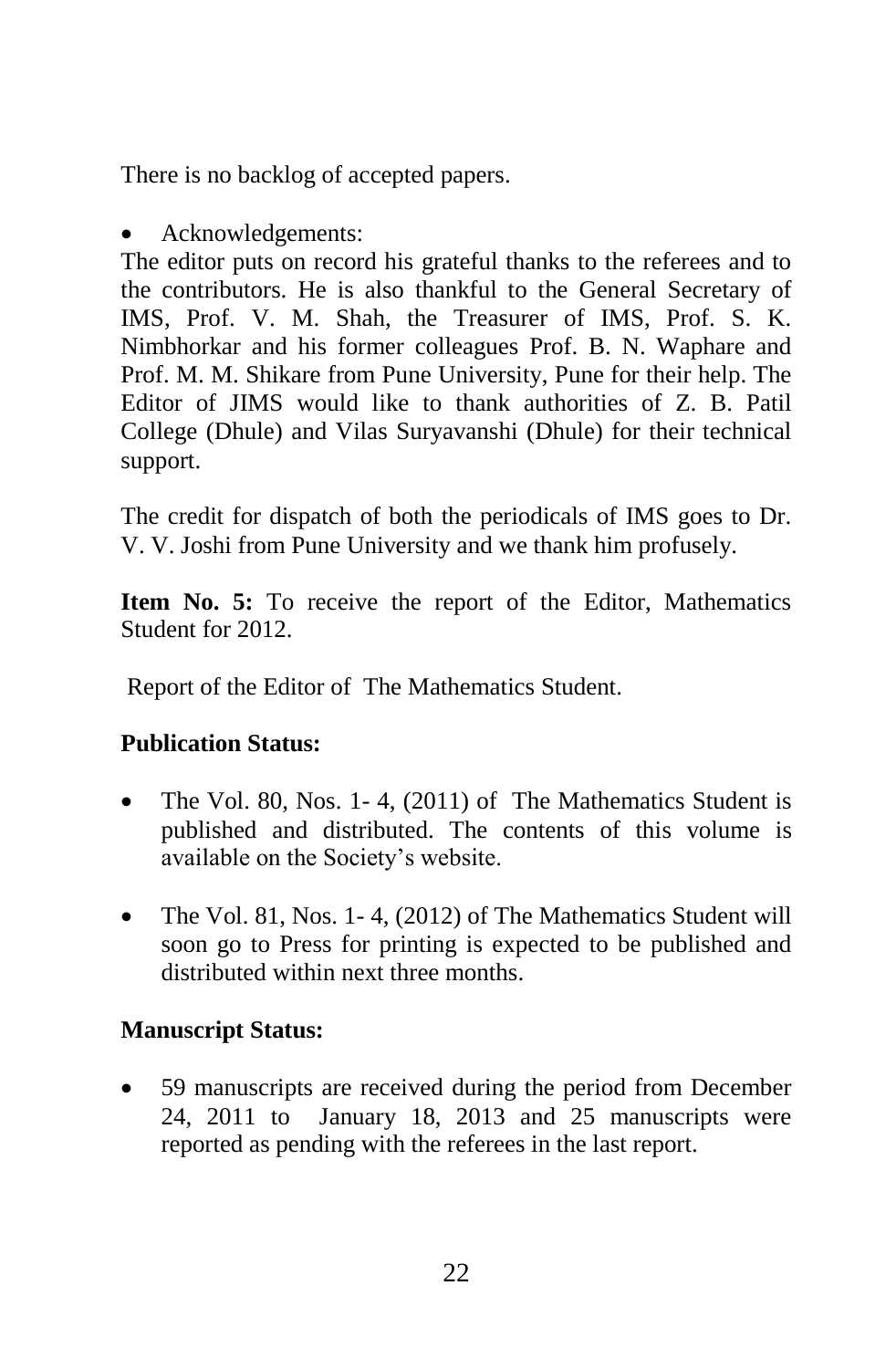There is no backlog of accepted papers.

• Acknowledgements:

The editor puts on record his grateful thanks to the referees and to the contributors. He is also thankful to the General Secretary of IMS, Prof. V. M. Shah, the Treasurer of IMS, Prof. S. K. Nimbhorkar and his former colleagues Prof. B. N. Waphare and Prof. M. M. Shikare from Pune University, Pune for their help. The Editor of JIMS would like to thank authorities of Z. B. Patil College (Dhule) and Vilas Suryavanshi (Dhule) for their technical support.

The credit for dispatch of both the periodicals of IMS goes to Dr. V. V. Joshi from Pune University and we thank him profusely.

**Item No. 5:** To receive the report of the Editor, Mathematics Student for 2012.

Report of the Editor of The Mathematics Student.

#### **Publication Status:**

- The Vol. 80, Nos. 1-4, (2011) of The Mathematics Student is published and distributed. The contents of this volume is available on the Society"s website.
- The Vol. 81, Nos. 1-4, (2012) of The Mathematics Student will soon go to Press for printing is expected to be published and distributed within next three months.

#### **Manuscript Status:**

 59 manuscripts are received during the period from December 24, 2011 to January 18, 2013 and 25 manuscripts were reported as pending with the referees in the last report.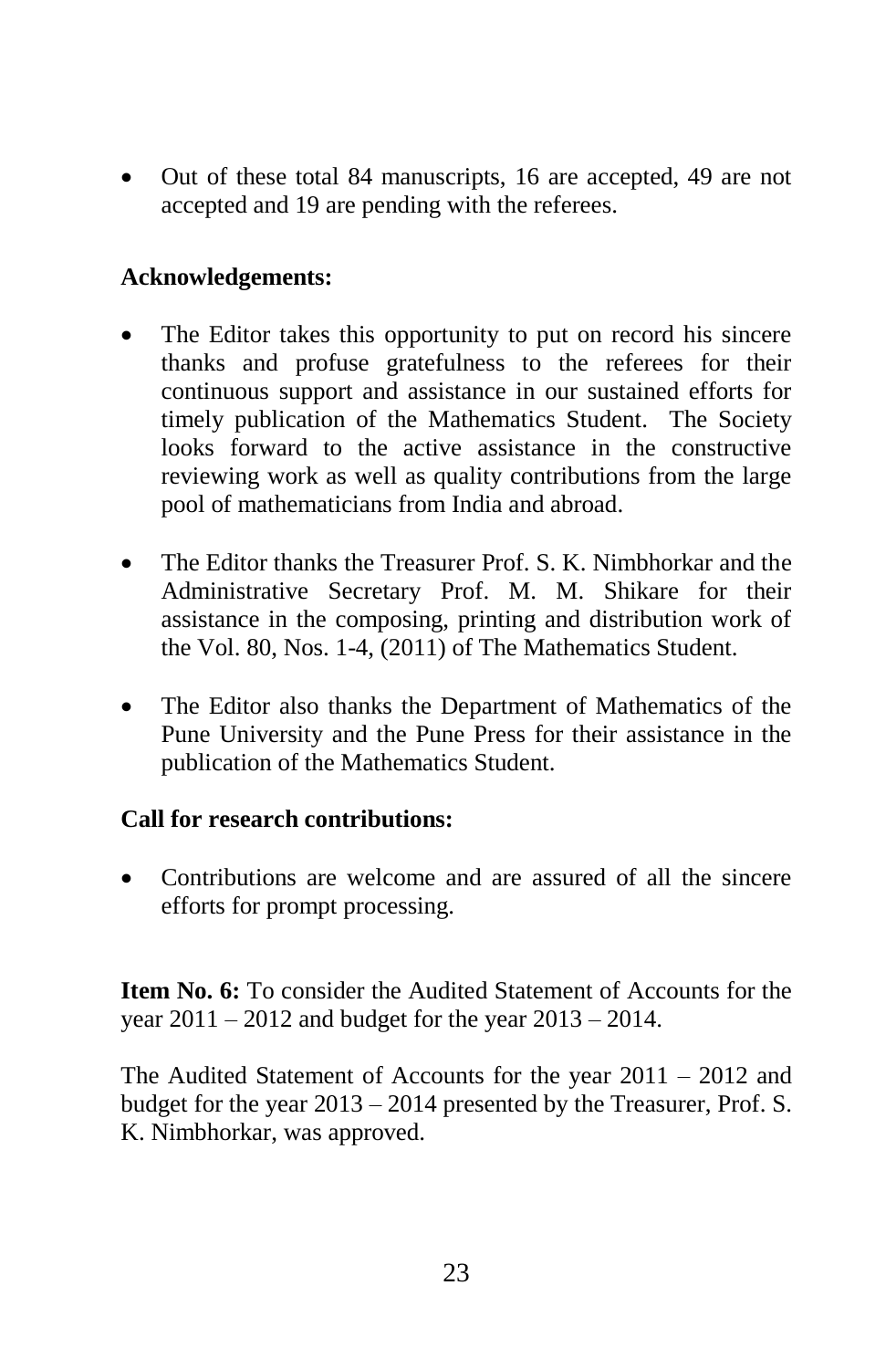Out of these total 84 manuscripts, 16 are accepted, 49 are not accepted and 19 are pending with the referees.

#### **Acknowledgements:**

- The Editor takes this opportunity to put on record his sincere thanks and profuse gratefulness to the referees for their continuous support and assistance in our sustained efforts for timely publication of the Mathematics Student. The Society looks forward to the active assistance in the constructive reviewing work as well as quality contributions from the large pool of mathematicians from India and abroad.
- The Editor thanks the Treasurer Prof. S. K. Nimbhorkar and the Administrative Secretary Prof. M. M. Shikare for their assistance in the composing, printing and distribution work of the Vol. 80, Nos. 1-4, (2011) of The Mathematics Student.
- The Editor also thanks the Department of Mathematics of the Pune University and the Pune Press for their assistance in the publication of the Mathematics Student.

#### **Call for research contributions:**

• Contributions are welcome and are assured of all the sincere efforts for prompt processing.

**Item No. 6:** To consider the Audited Statement of Accounts for the year 2011 – 2012 and budget for the year 2013 – 2014.

The Audited Statement of Accounts for the year 2011 – 2012 and budget for the year 2013 – 2014 presented by the Treasurer, Prof. S. K. Nimbhorkar, was approved.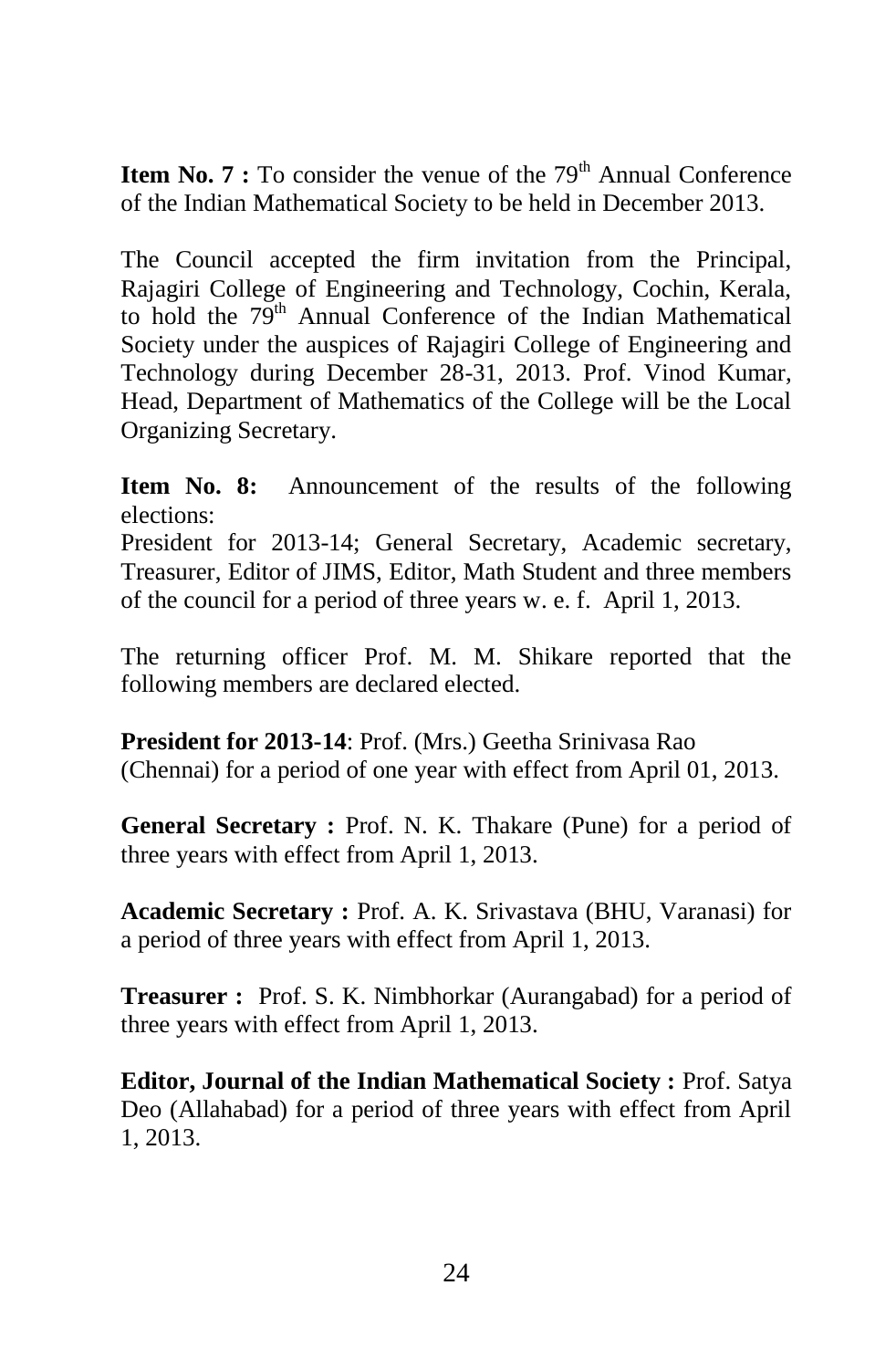**Item No. 7 :** To consider the venue of the 79<sup>th</sup> Annual Conference of the Indian Mathematical Society to be held in December 2013.

The Council accepted the firm invitation from the Principal, Rajagiri College of Engineering and Technology, Cochin, Kerala, to hold the 79<sup>th</sup> Annual Conference of the Indian Mathematical Society under the auspices of Rajagiri College of Engineering and Technology during December 28-31, 2013. Prof. Vinod Kumar, Head, Department of Mathematics of the College will be the Local Organizing Secretary.

**Item No. 8:** Announcement of the results of the following elections:

President for 2013-14; General Secretary, Academic secretary, Treasurer, Editor of JIMS, Editor, Math Student and three members of the council for a period of three years w. e. f. April 1, 2013.

The returning officer Prof. M. M. Shikare reported that the following members are declared elected.

**President for 2013-14**: Prof. (Mrs.) Geetha Srinivasa Rao (Chennai) for a period of one year with effect from April 01, 2013.

General Secretary : Prof. N. K. Thakare (Pune) for a period of three years with effect from April 1, 2013.

**Academic Secretary :** Prof. A. K. Srivastava (BHU, Varanasi) for a period of three years with effect from April 1, 2013.

**Treasurer :** Prof. S. K. Nimbhorkar (Aurangabad) for a period of three years with effect from April 1, 2013.

**Editor, Journal of the Indian Mathematical Society : Prof. Satya** Deo (Allahabad) for a period of three years with effect from April 1, 2013.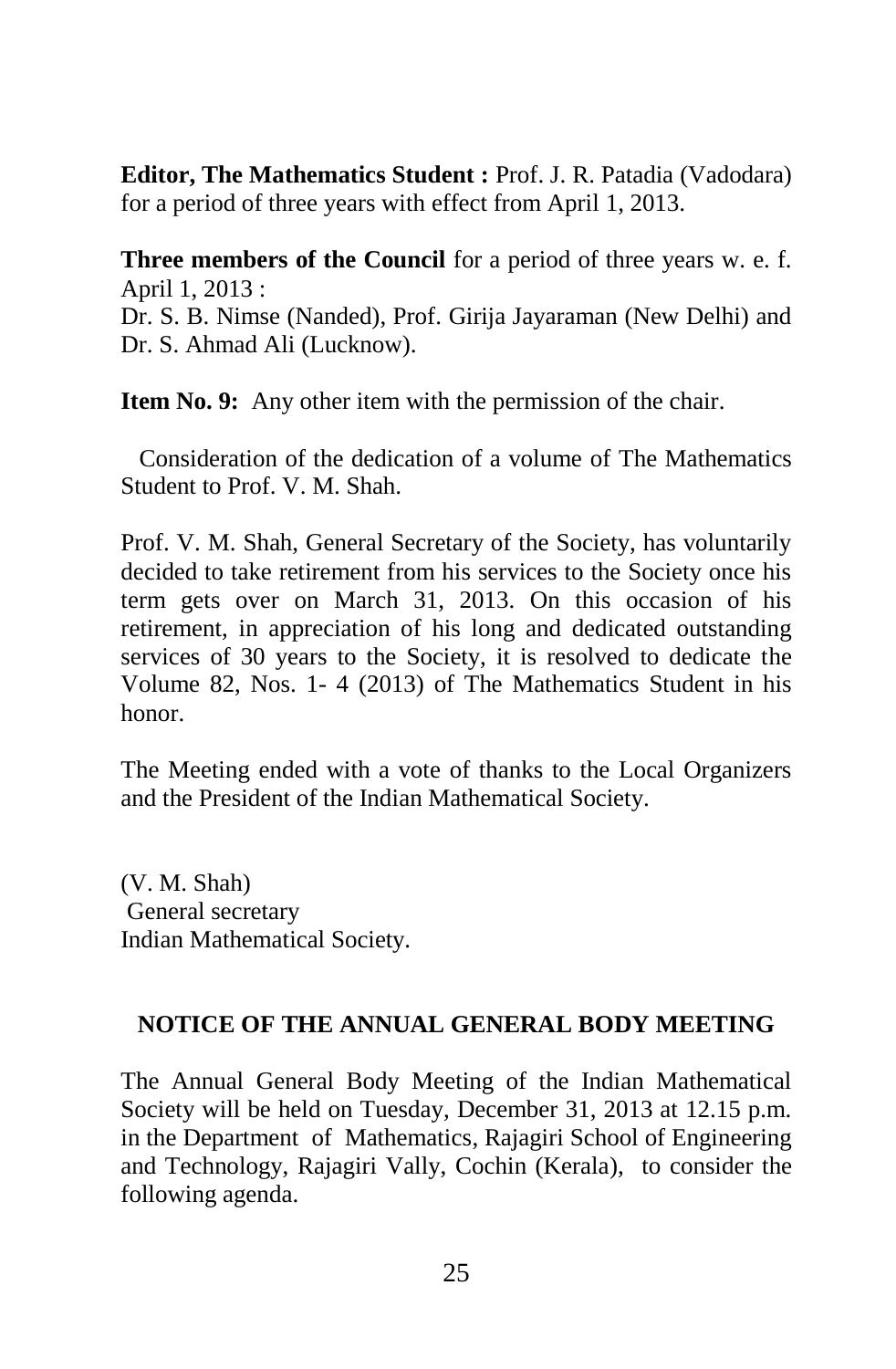**Editor, The Mathematics Student :** Prof. J. R. Patadia (Vadodara) for a period of three years with effect from April 1, 2013.

**Three members of the Council** for a period of three years w. e. f. April 1, 2013 :

Dr. S. B. Nimse (Nanded), Prof. Girija Jayaraman (New Delhi) and Dr. S. Ahmad Ali (Lucknow).

**Item No. 9:** Any other item with the permission of the chair.

 Consideration of the dedication of a volume of The Mathematics Student to Prof. V. M. Shah.

Prof. V. M. Shah, General Secretary of the Society, has voluntarily decided to take retirement from his services to the Society once his term gets over on March 31, 2013. On this occasion of his retirement, in appreciation of his long and dedicated outstanding services of 30 years to the Society, it is resolved to dedicate the Volume 82, Nos. 1- 4 (2013) of The Mathematics Student in his honor.

The Meeting ended with a vote of thanks to the Local Organizers and the President of the Indian Mathematical Society.

(V. M. Shah) General secretary Indian Mathematical Society.

#### **NOTICE OF THE ANNUAL GENERAL BODY MEETING**

The Annual General Body Meeting of the Indian Mathematical Society will be held on Tuesday, December 31, 2013 at 12.15 p.m. in the Department of Mathematics, Rajagiri School of Engineering and Technology, Rajagiri Vally, Cochin (Kerala), to consider the following agenda.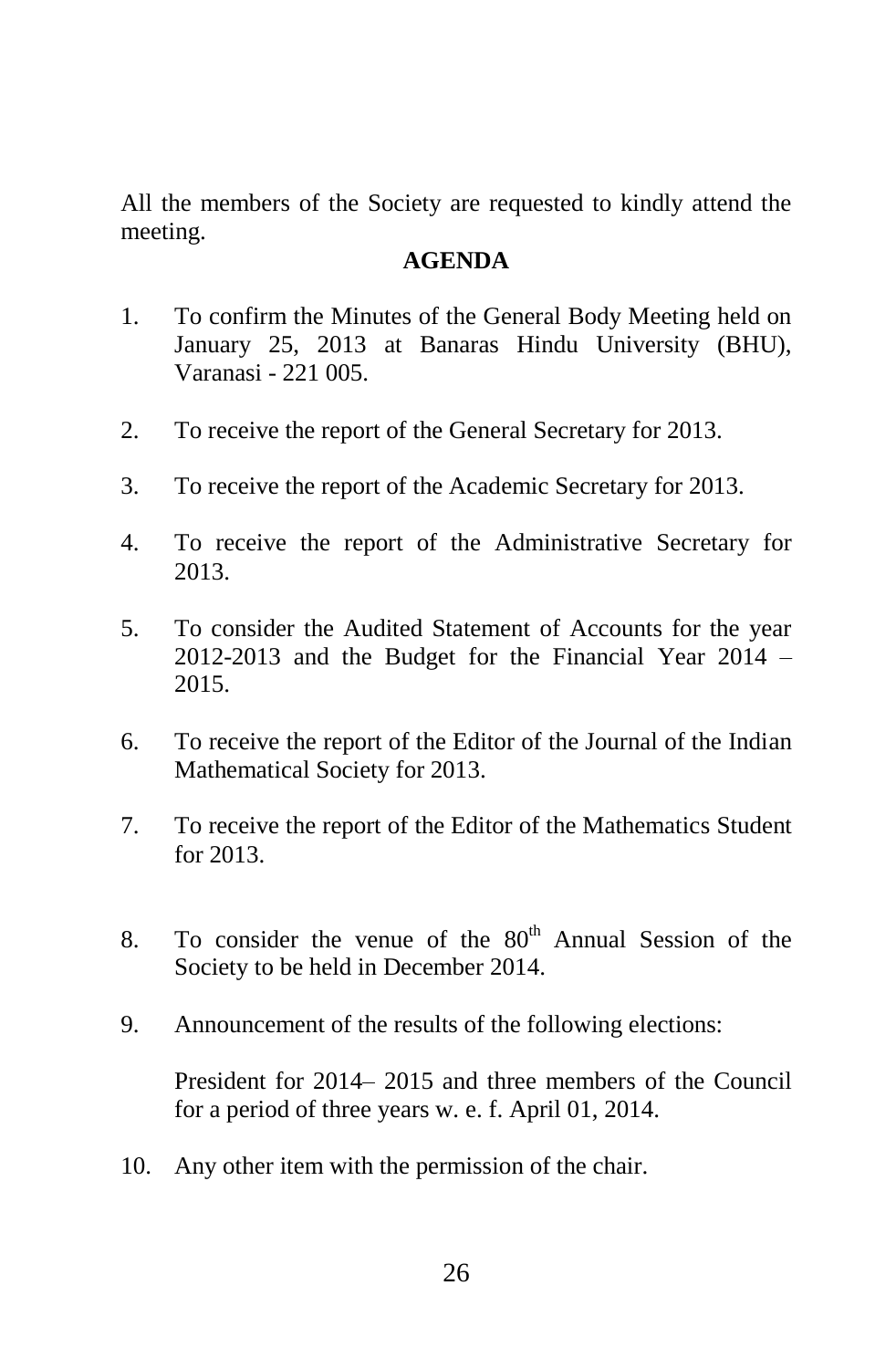All the members of the Society are requested to kindly attend the meeting.

#### **AGENDA**

- 1. To confirm the Minutes of the General Body Meeting held on January 25, 2013 at Banaras Hindu University (BHU), Varanasi - 221 005.
- 2. To receive the report of the General Secretary for 2013.
- 3. To receive the report of the Academic Secretary for 2013.
- 4. To receive the report of the Administrative Secretary for 2013.
- 5. To consider the Audited Statement of Accounts for the year 2012-2013 and the Budget for the Financial Year 2014 – 2015.
- 6. To receive the report of the Editor of the Journal of the Indian Mathematical Society for 2013.
- 7. To receive the report of the Editor of the Mathematics Student for 2013.
- 8. To consider the venue of the  $80<sup>th</sup>$  Annual Session of the Society to be held in December 2014.
- 9. Announcement of the results of the following elections:

President for 2014– 2015 and three members of the Council for a period of three years w. e. f. April 01, 2014.

10. Any other item with the permission of the chair.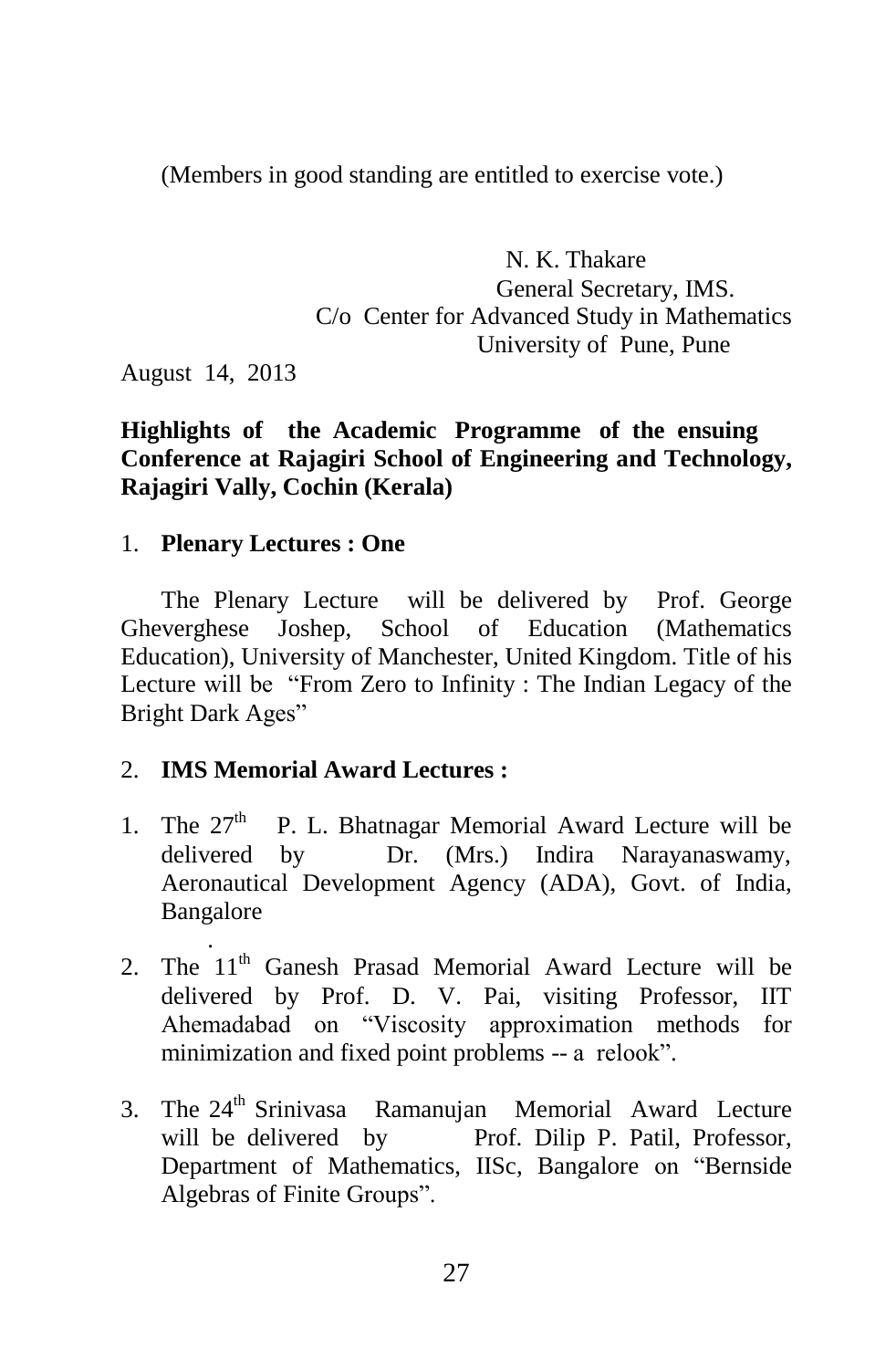(Members in good standing are entitled to exercise vote.)

 N. K. Thakare General Secretary, IMS. C/o Center for Advanced Study in Mathematics University of Pune, Pune

August 14, 2013

#### **Highlights of the Academic Programme of the ensuing Conference at Rajagiri School of Engineering and Technology, Rajagiri Vally, Cochin (Kerala)**

#### 1. **Plenary Lectures : One**

The Plenary Lecture will be delivered by Prof. George Gheverghese Joshep, School of Education (Mathematics Education), University of Manchester, United Kingdom. Title of his Lecture will be "From Zero to Infinity : The Indian Legacy of the Bright Dark Ages"

#### 2. **IMS Memorial Award Lectures :**

- 1. The  $27<sup>th</sup>$  P. L. Bhatnagar Memorial Award Lecture will be delivered by Dr. (Mrs.) Indira Narayanaswamy, Aeronautical Development Agency (ADA), Govt. of India, Bangalore .
- 2. The  $11<sup>th</sup>$  Ganesh Prasad Memorial Award Lecture will be delivered by Prof. D. V. Pai, visiting Professor, IIT Ahemadabad on "Viscosity approximation methods for minimization and fixed point problems -- a relook".
- 3. The 24<sup>th</sup> Srinivasa Ramanujan Memorial Award Lecture will be delivered by Prof. Dilip P. Patil, Professor, Department of Mathematics, IISc, Bangalore on "Bernside Algebras of Finite Groups".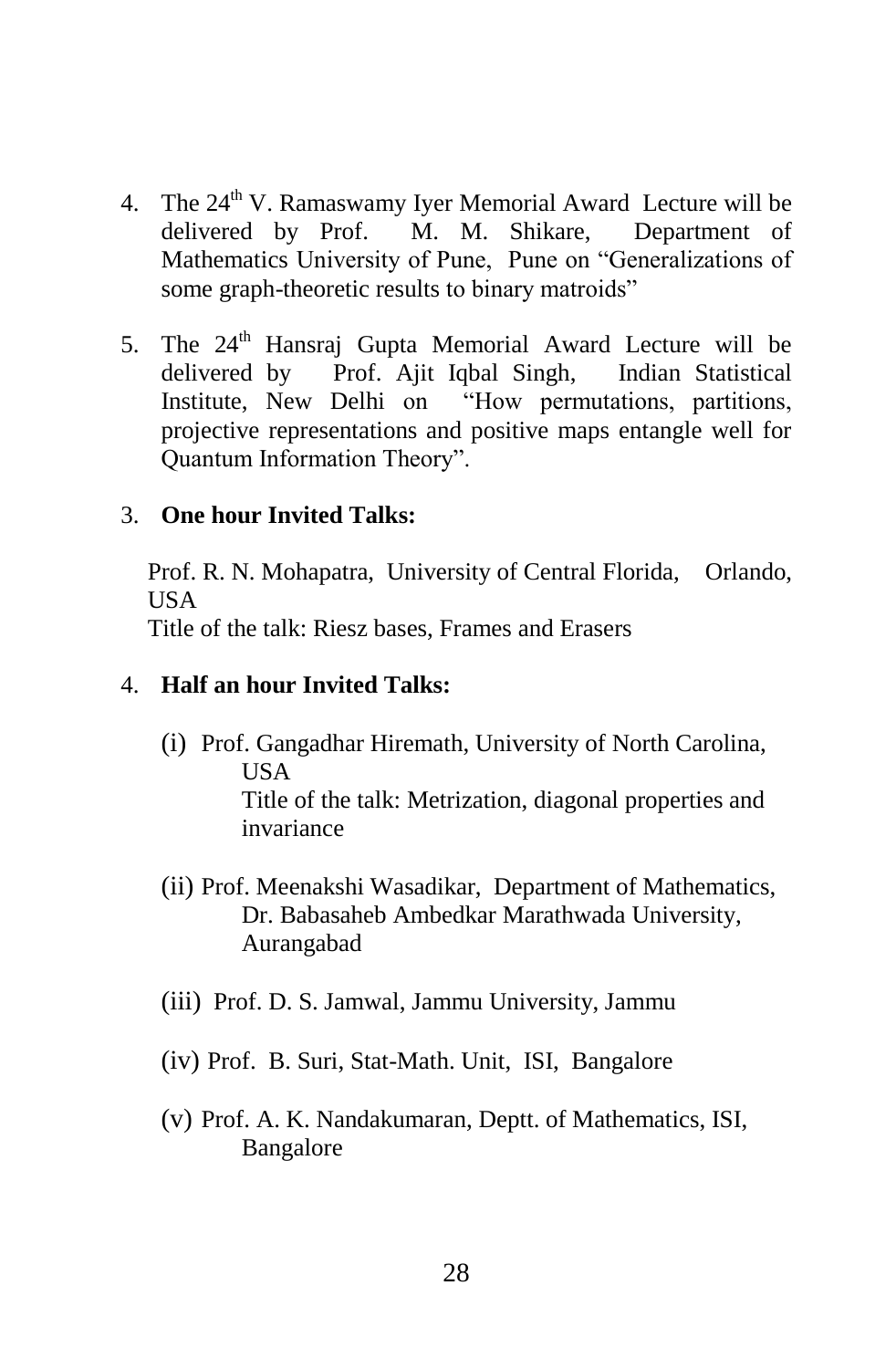- 4. The  $24<sup>th</sup>$  V. Ramaswamy Iyer Memorial Award Lecture will be delivered by Prof. M. M. Shikare, Department of Mathematics University of Pune, Pune on "Generalizations of some graph-theoretic results to binary matroids"
- 5. The  $24<sup>th</sup>$  Hansraj Gupta Memorial Award Lecture will be delivered by Prof. Ajit Iqbal Singh, Indian Statistical Institute, New Delhi on "How permutations, partitions, projective representations and positive maps entangle well for Quantum Information Theory".

#### 3. **One hour Invited Talks:**

Prof. R. N. Mohapatra, University of Central Florida, Orlando, USA

Title of the talk: Riesz bases, Frames and Erasers

#### 4. **Half an hour Invited Talks:**

- (i) Prof. Gangadhar Hiremath, University of North Carolina, USA Title of the talk: Metrization, diagonal properties and invariance
- (ii) Prof. Meenakshi Wasadikar, Department of Mathematics, Dr. Babasaheb Ambedkar Marathwada University, Aurangabad
- (iii) Prof. D. S. Jamwal, Jammu University, Jammu
- (iv) Prof. B. Suri, Stat-Math. Unit, ISI, Bangalore
- (v) Prof. A. K. Nandakumaran, Deptt. of Mathematics, ISI, Bangalore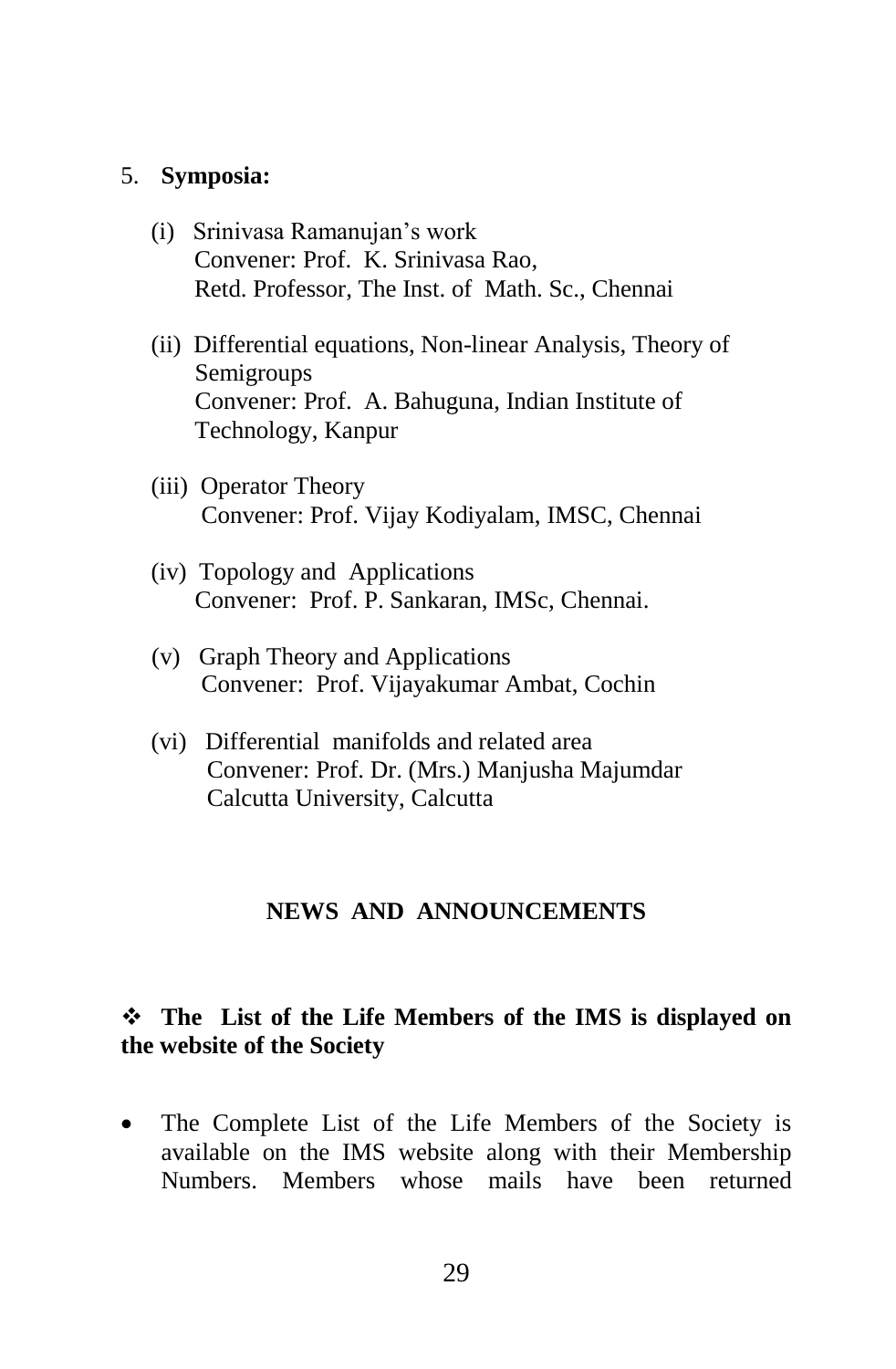#### 5. **Symposia:**

- (i) Srinivasa Ramanujan"s work Convener: Prof. K. Srinivasa Rao, Retd. Professor, The Inst. of Math. Sc., Chennai
- (ii) Differential equations, Non-linear Analysis, Theory of Semigroups Convener: Prof. A. Bahuguna, Indian Institute of Technology, Kanpur
- (iii) Operator Theory Convener: Prof. Vijay Kodiyalam, IMSC, Chennai
- (iv) Topology and Applications Convener: Prof. P. Sankaran, IMSc, Chennai.
- (v) Graph Theory and Applications Convener: Prof. Vijayakumar Ambat, Cochin
- (vi) Differential manifolds and related area Convener: Prof. Dr. (Mrs.) Manjusha Majumdar Calcutta University, Calcutta

#### **NEWS AND ANNOUNCEMENTS**

#### **The List of the Life Members of the IMS is displayed on the website of the Society**

 The Complete List of the Life Members of the Society is available on the IMS website along with their Membership Numbers. Members whose mails have been returned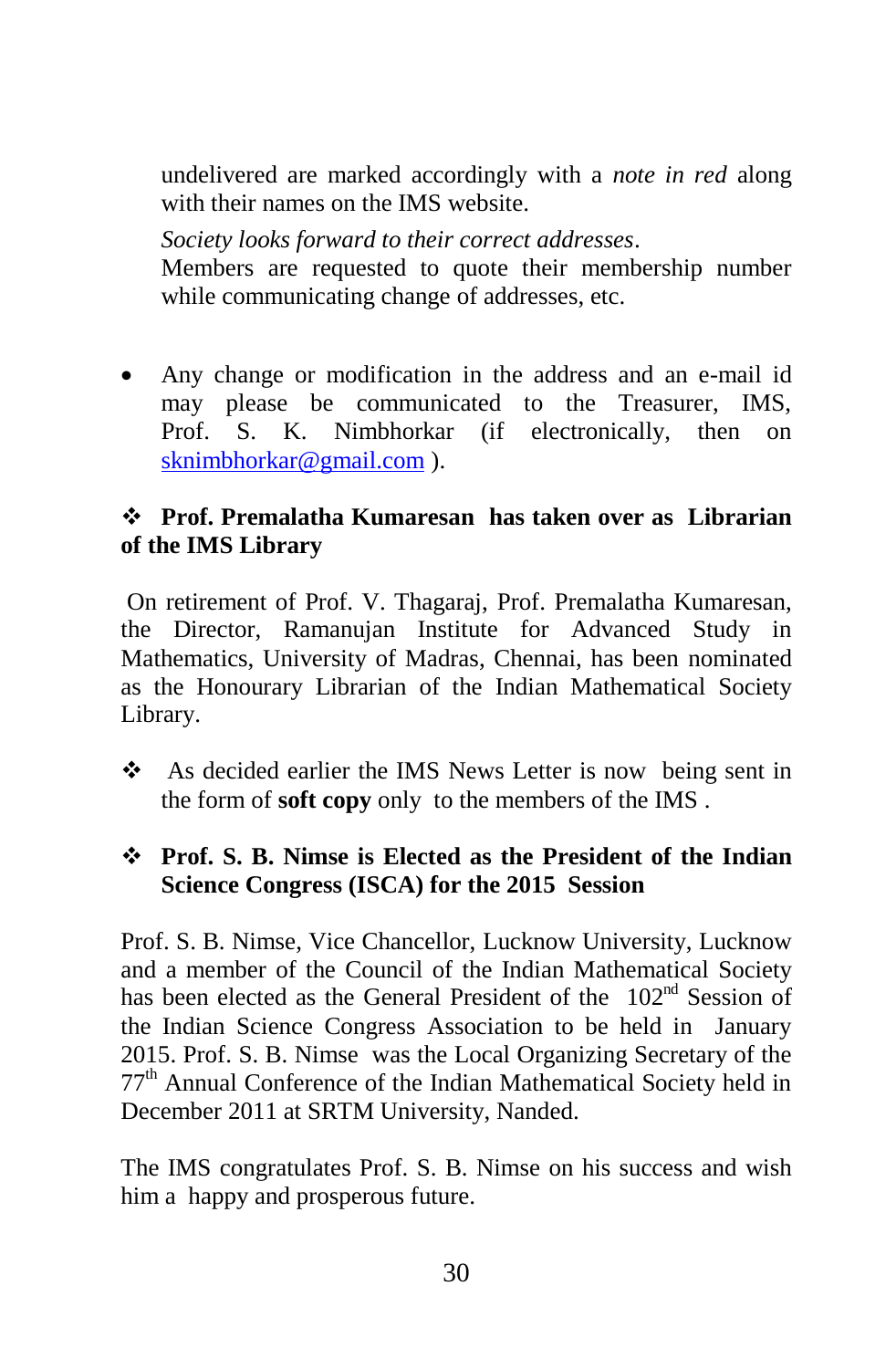undelivered are marked accordingly with a *note in red* along with their names on the IMS website.

*Society looks forward to their correct addresses*.

Members are requested to quote their membership number while communicating change of addresses, etc.

 Any change or modification in the address and an e-mail id may please be communicated to the Treasurer, IMS, Prof. S. K. Nimbhorkar (if electronically, then on [sknimbhorkar@gmail.com](mailto:sknimbhorkar@gmail.com) ).

# **Prof. Premalatha Kumaresan has taken over as Librarian of the IMS Library**

On retirement of Prof. V. Thagaraj, Prof. Premalatha Kumaresan, the Director, Ramanujan Institute for Advanced Study in Mathematics, University of Madras, Chennai, has been nominated as the Honourary Librarian of the Indian Mathematical Society Library.

◆ As decided earlier the IMS News Letter is now being sent in the form of **soft copy** only to the members of the IMS .

# **Prof. S. B. Nimse is Elected as the President of the Indian Science Congress (ISCA) for the 2015 Session**

Prof. S. B. Nimse, Vice Chancellor, Lucknow University, Lucknow and a member of the Council of the Indian Mathematical Society has been elected as the General President of the 102<sup>nd</sup> Session of the Indian Science Congress Association to be held in January 2015. Prof. S. B. Nimse was the Local Organizing Secretary of the 77th Annual Conference of the Indian Mathematical Society held in December 2011 at SRTM University, Nanded.

The IMS congratulates Prof. S. B. Nimse on his success and wish him a happy and prosperous future.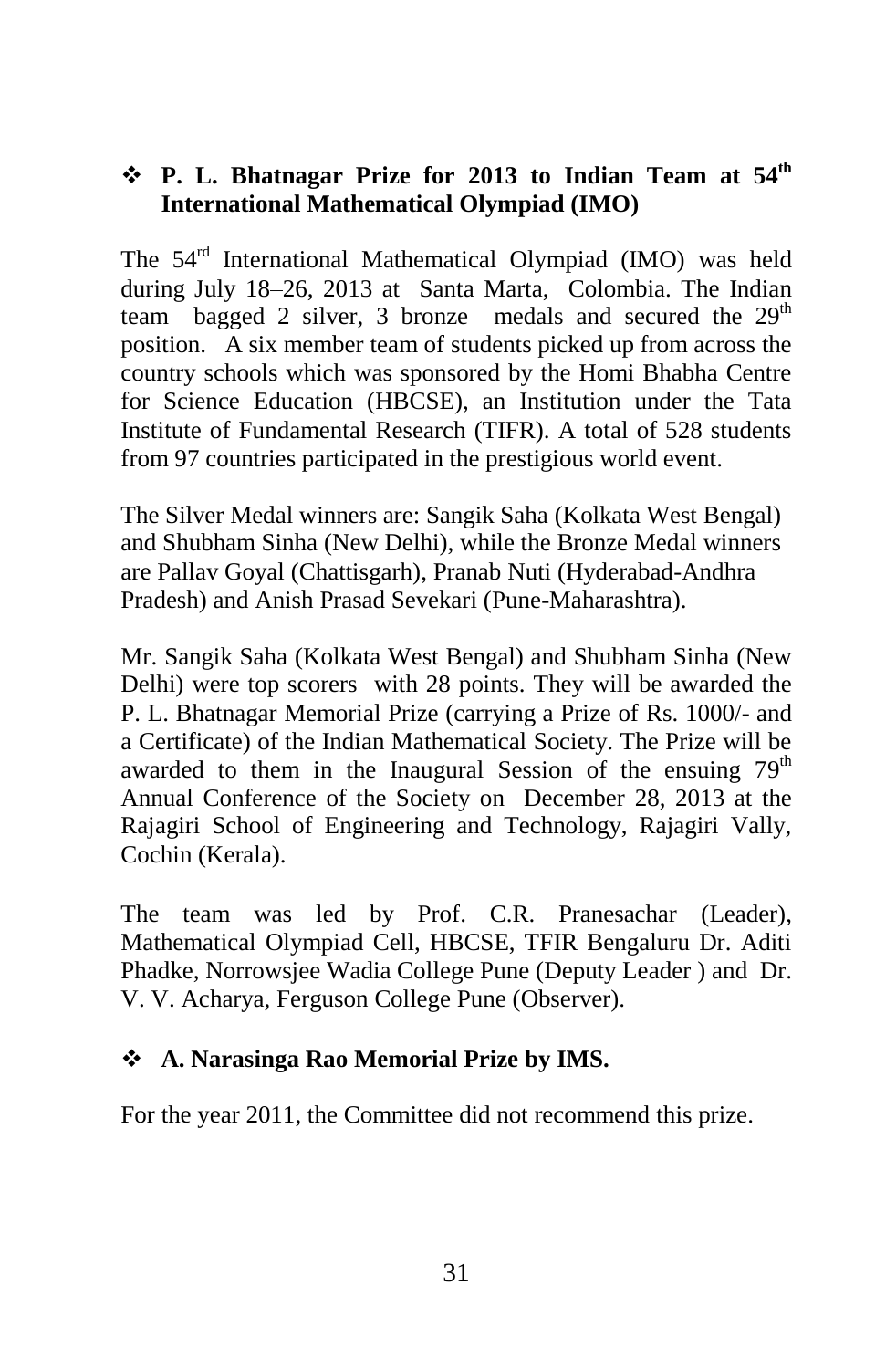#### **∻ P.** L. Bhatnagar Prize for 2013 to Indian Team at 54<sup>th</sup> **International Mathematical Olympiad (IMO)**

The 54<sup>rd</sup> International Mathematical Olympiad (IMO) was held during July 18–26, 2013 at Santa Marta, Colombia. The Indian team bagged 2 silver, 3 bronze medals and secured the  $29<sup>th</sup>$ position. A six member team of students picked up from across the country schools which was sponsored by the Homi Bhabha Centre for Science Education (HBCSE), an Institution under the Tata Institute of Fundamental Research (TIFR). A total of 528 students from 97 countries participated in the prestigious world event.

The Silver Medal winners are: Sangik Saha (Kolkata West Bengal) and Shubham Sinha (New Delhi), while the Bronze Medal winners are Pallav Goyal (Chattisgarh), Pranab Nuti (Hyderabad-Andhra Pradesh) and Anish Prasad Sevekari (Pune-Maharashtra).

Mr. Sangik Saha (Kolkata West Bengal) and Shubham Sinha (New Delhi) were top scorers with 28 points. They will be awarded the P. L. Bhatnagar Memorial Prize (carrying a Prize of Rs. 1000/- and a Certificate) of the Indian Mathematical Society. The Prize will be awarded to them in the Inaugural Session of the ensuing  $79<sup>th</sup>$ Annual Conference of the Society on December 28, 2013 at the Rajagiri School of Engineering and Technology, Rajagiri Vally, Cochin (Kerala).

The team was led by Prof. C.R. Pranesachar (Leader), Mathematical Olympiad Cell, HBCSE, TFIR Bengaluru Dr. Aditi Phadke, Norrowsjee Wadia College Pune (Deputy Leader ) and Dr. V. V. Acharya, Ferguson College Pune (Observer).

#### **A. Narasinga Rao Memorial Prize by IMS.**

For the year 2011, the Committee did not recommend this prize.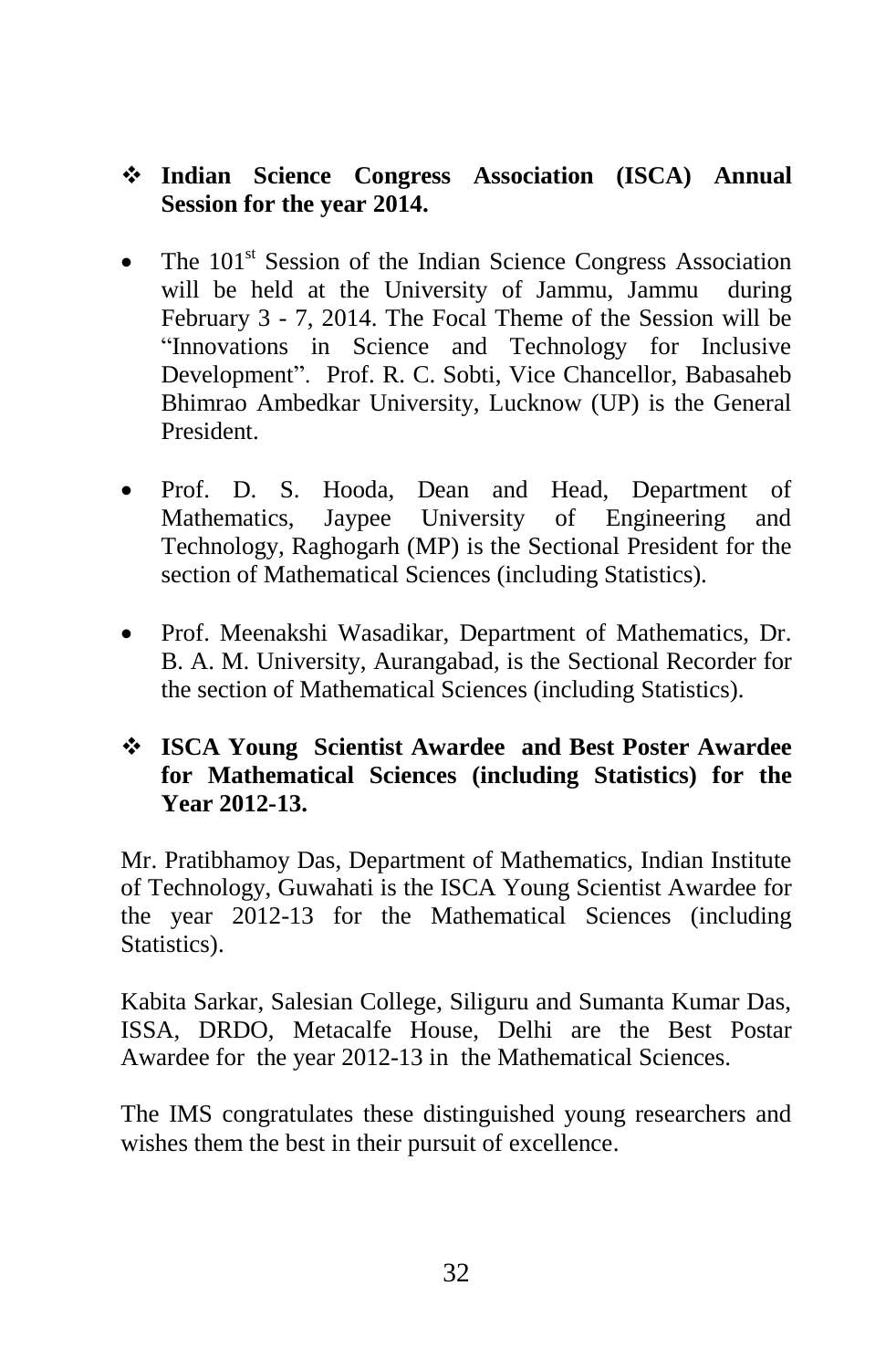#### **Indian Science Congress Association (ISCA) Annual Session for the year 2014.**

- The 101<sup>st</sup> Session of the Indian Science Congress Association will be held at the University of Jammu, Jammu during February 3 - 7, 2014. The Focal Theme of the Session will be "Innovations in Science and Technology for Inclusive Development". Prof. R. C. Sobti, Vice Chancellor, Babasaheb Bhimrao Ambedkar University, Lucknow (UP) is the General President.
- Prof. D. S. Hooda, Dean and Head, Department of Mathematics, Jaypee University of Engineering and Technology, Raghogarh (MP) is the Sectional President for the section of Mathematical Sciences (including Statistics).
- Prof. Meenakshi Wasadikar, Department of Mathematics, Dr. B. A. M. University, Aurangabad, is the Sectional Recorder for the section of Mathematical Sciences (including Statistics).

#### **ISCA Young Scientist Awardee and Best Poster Awardee for Mathematical Sciences (including Statistics) for the Year 2012-13.**

Mr. Pratibhamoy Das, Department of Mathematics, Indian Institute of Technology, Guwahati is the ISCA Young Scientist Awardee for the year 2012-13 for the Mathematical Sciences (including Statistics).

Kabita Sarkar, Salesian College, Siliguru and Sumanta Kumar Das, ISSA, DRDO, Metacalfe House, Delhi are the Best Postar Awardee for the year 2012-13 in the Mathematical Sciences.

The IMS congratulates these distinguished young researchers and wishes them the best in their pursuit of excellence.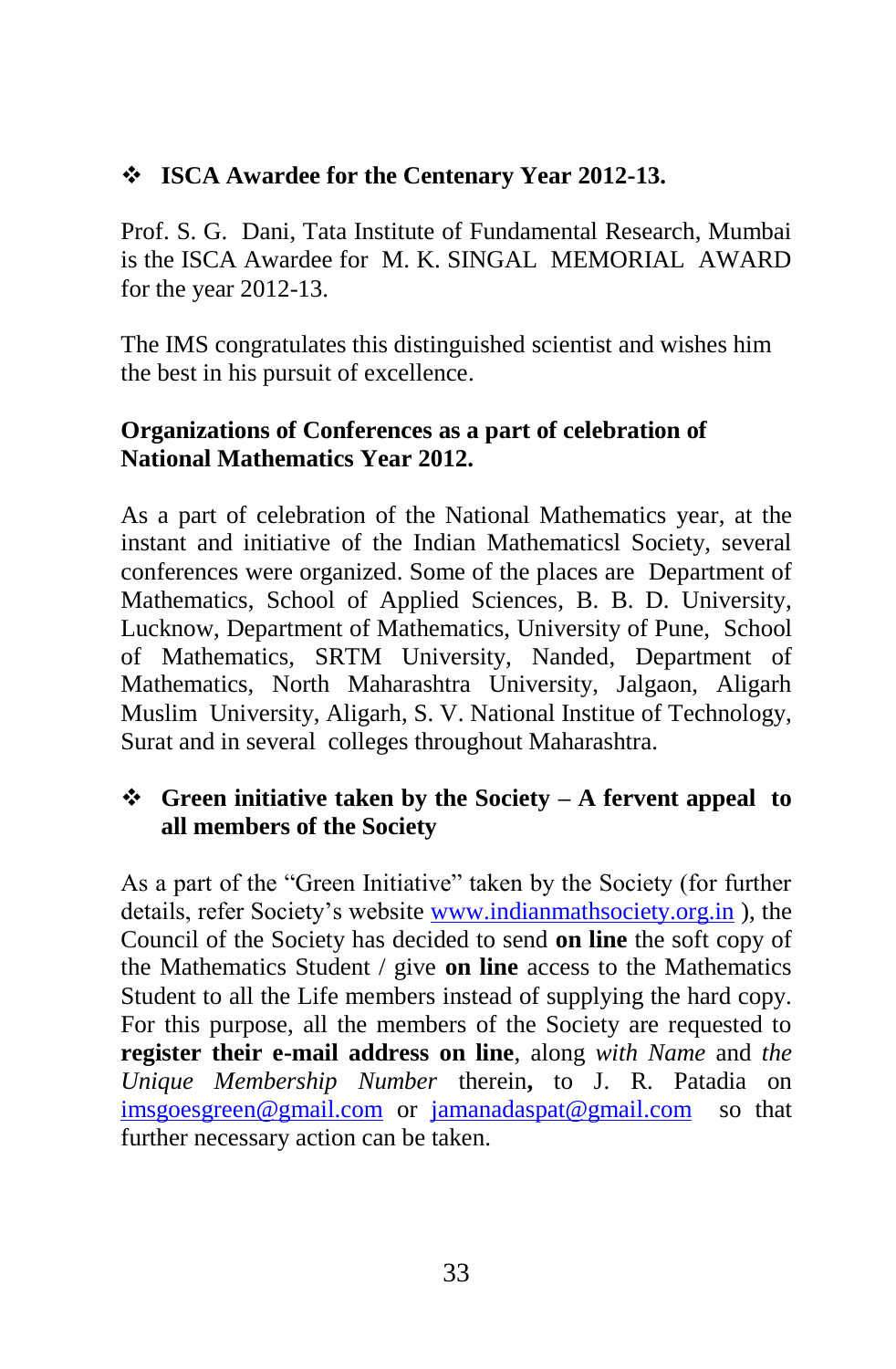# **ISCA Awardee for the Centenary Year 2012-13.**

Prof. S. G. Dani, Tata Institute of Fundamental Research, Mumbai is the ISCA Awardee for M. K. SINGAL MEMORIAL AWARD for the year 2012-13.

The IMS congratulates this distinguished scientist and wishes him the best in his pursuit of excellence.

# **Organizations of Conferences as a part of celebration of National Mathematics Year 2012.**

As a part of celebration of the National Mathematics year, at the instant and initiative of the Indian Mathematicsl Society, several conferences were organized. Some of the places are Department of Mathematics, School of Applied Sciences, B. B. D. University, Lucknow, Department of Mathematics, University of Pune, School of Mathematics, SRTM University, Nanded, Department of Mathematics, North Maharashtra University, Jalgaon, Aligarh Muslim University, Aligarh, S. V. National Institue of Technology, Surat and in several colleges throughout Maharashtra.

# **Green initiative taken by the Society – A fervent appeal to all members of the Society**

As a part of the "Green Initiative" taken by the Society (for further details, refer Society's website [www.indianmathsociety.org.in](http://www.indianmathsociety.org.in/)), the Council of the Society has decided to send **on line** the soft copy of the Mathematics Student / give **on line** access to the Mathematics Student to all the Life members instead of supplying the hard copy. For this purpose, all the members of the Society are requested to **register their e-mail address on line**, along *with Name* and *the Unique Membership Number* therein**,** to J. R. Patadia on [imsgoesgreen@gmail.com](mailto:imsgoesgreen@gmail.com) or [jamanadaspat@gmail.com](mailto:jamanadaspat@gmail.com) so that further necessary action can be taken.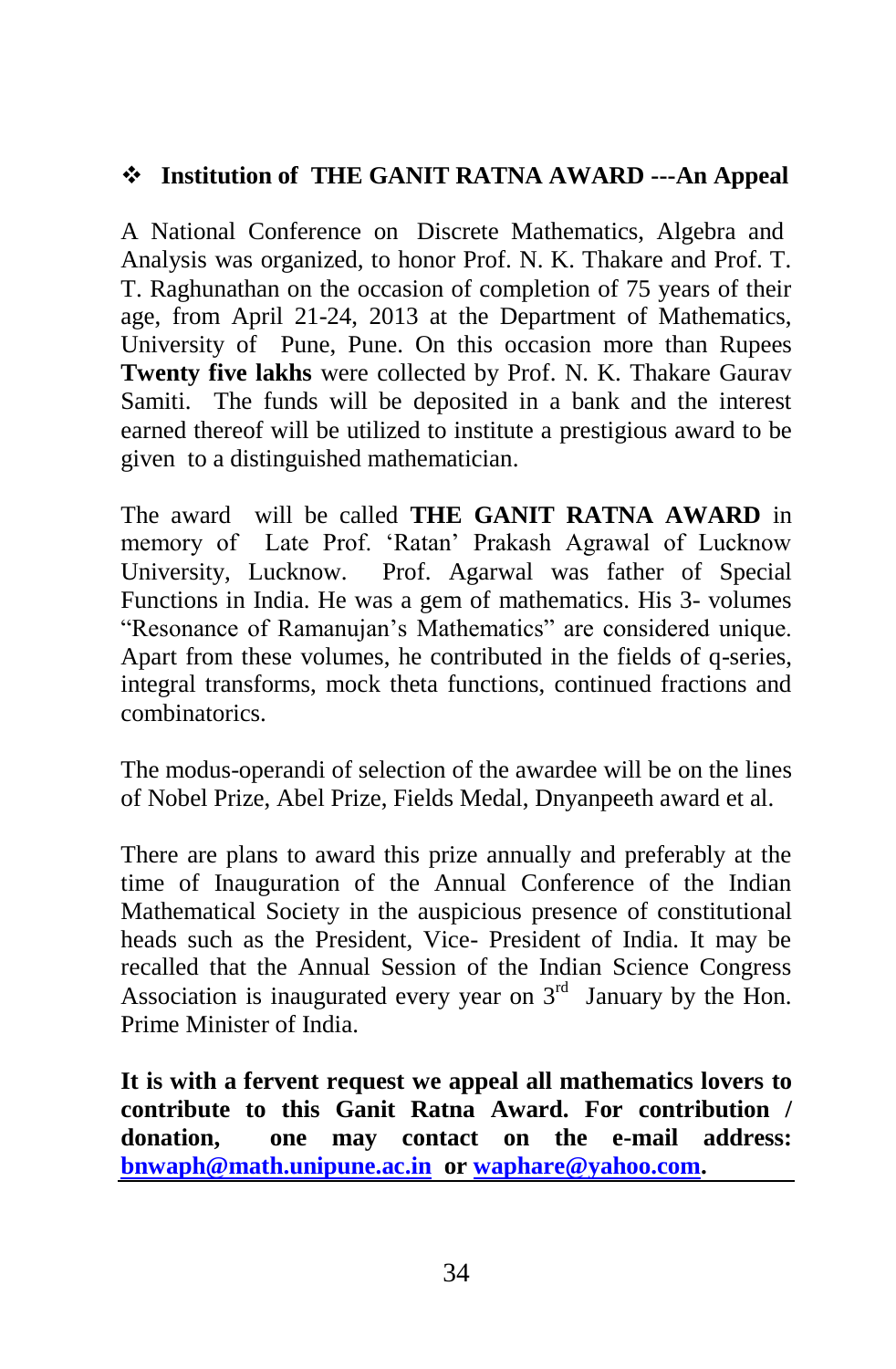# **Institution of THE GANIT RATNA AWARD ---An Appeal**

A National Conference on Discrete Mathematics, Algebra and Analysis was organized, to honor Prof. N. K. Thakare and Prof. T. T. Raghunathan on the occasion of completion of 75 years of their age, from April 21-24, 2013 at the Department of Mathematics, University of Pune, Pune. On this occasion more than Rupees **Twenty five lakhs** were collected by Prof. N. K. Thakare Gaurav Samiti. The funds will be deposited in a bank and the interest earned thereof will be utilized to institute a prestigious award to be given to a distinguished mathematician.

The award will be called **THE GANIT RATNA AWARD** in memory of Late Prof. "Ratan" Prakash Agrawal of Lucknow University, Lucknow. Prof. Agarwal was father of Special Functions in India. He was a gem of mathematics. His 3- volumes "Resonance of Ramanujan"s Mathematics" are considered unique. Apart from these volumes, he contributed in the fields of q-series, integral transforms, mock theta functions, continued fractions and combinatorics.

The modus-operandi of selection of the awardee will be on the lines of Nobel Prize, Abel Prize, Fields Medal, Dnyanpeeth award et al.

There are plans to award this prize annually and preferably at the time of Inauguration of the Annual Conference of the Indian Mathematical Society in the auspicious presence of constitutional heads such as the President, Vice- President of India. It may be recalled that the Annual Session of the Indian Science Congress Association is inaugurated every year on  $3<sup>rd</sup>$  January by the Hon. Prime Minister of India.

**It is with a fervent request we appeal all mathematics lovers to contribute to this Ganit Ratna Award. For contribution / donation, one may contact on the e-mail address: [bnwaph@math.unipune.ac.in](mailto:bnwaph@math.unipune.ac.in) or [waphare@yahoo.com.](mailto:waphare@yahoo.com)**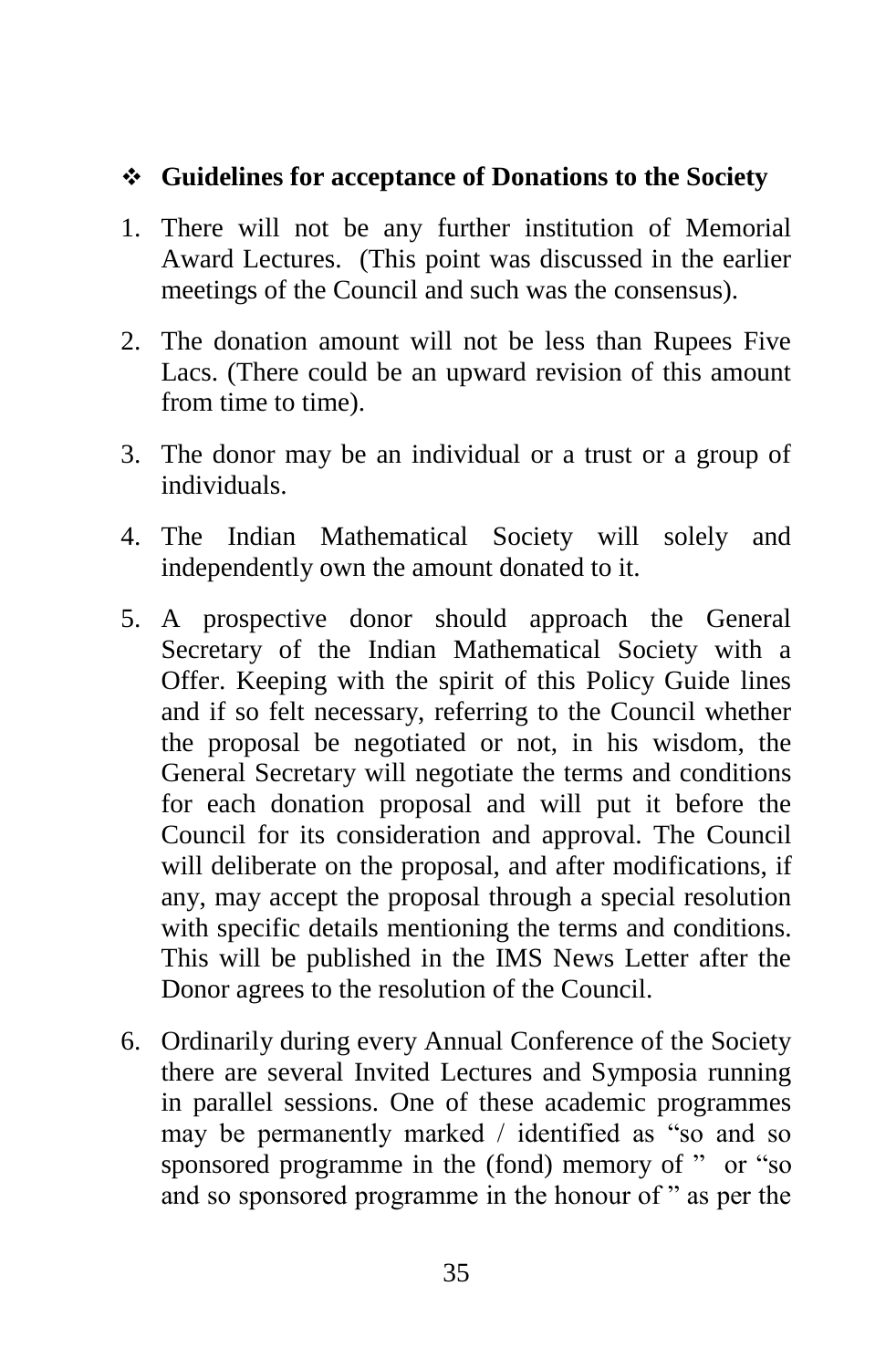# **Guidelines for acceptance of Donations to the Society**

- 1. There will not be any further institution of Memorial Award Lectures. (This point was discussed in the earlier meetings of the Council and such was the consensus).
- 2. The donation amount will not be less than Rupees Five Lacs. (There could be an upward revision of this amount from time to time).
- 3. The donor may be an individual or a trust or a group of individuals.
- 4. The Indian Mathematical Society will solely and independently own the amount donated to it.
- 5. A prospective donor should approach the General Secretary of the Indian Mathematical Society with a Offer. Keeping with the spirit of this Policy Guide lines and if so felt necessary, referring to the Council whether the proposal be negotiated or not, in his wisdom, the General Secretary will negotiate the terms and conditions for each donation proposal and will put it before the Council for its consideration and approval. The Council will deliberate on the proposal, and after modifications, if any, may accept the proposal through a special resolution with specific details mentioning the terms and conditions. This will be published in the IMS News Letter after the Donor agrees to the resolution of the Council.
- 6. Ordinarily during every Annual Conference of the Society there are several Invited Lectures and Symposia running in parallel sessions. One of these academic programmes may be permanently marked / identified as "so and so sponsored programme in the (fond) memory of " or "so and so sponsored programme in the honour of " as per the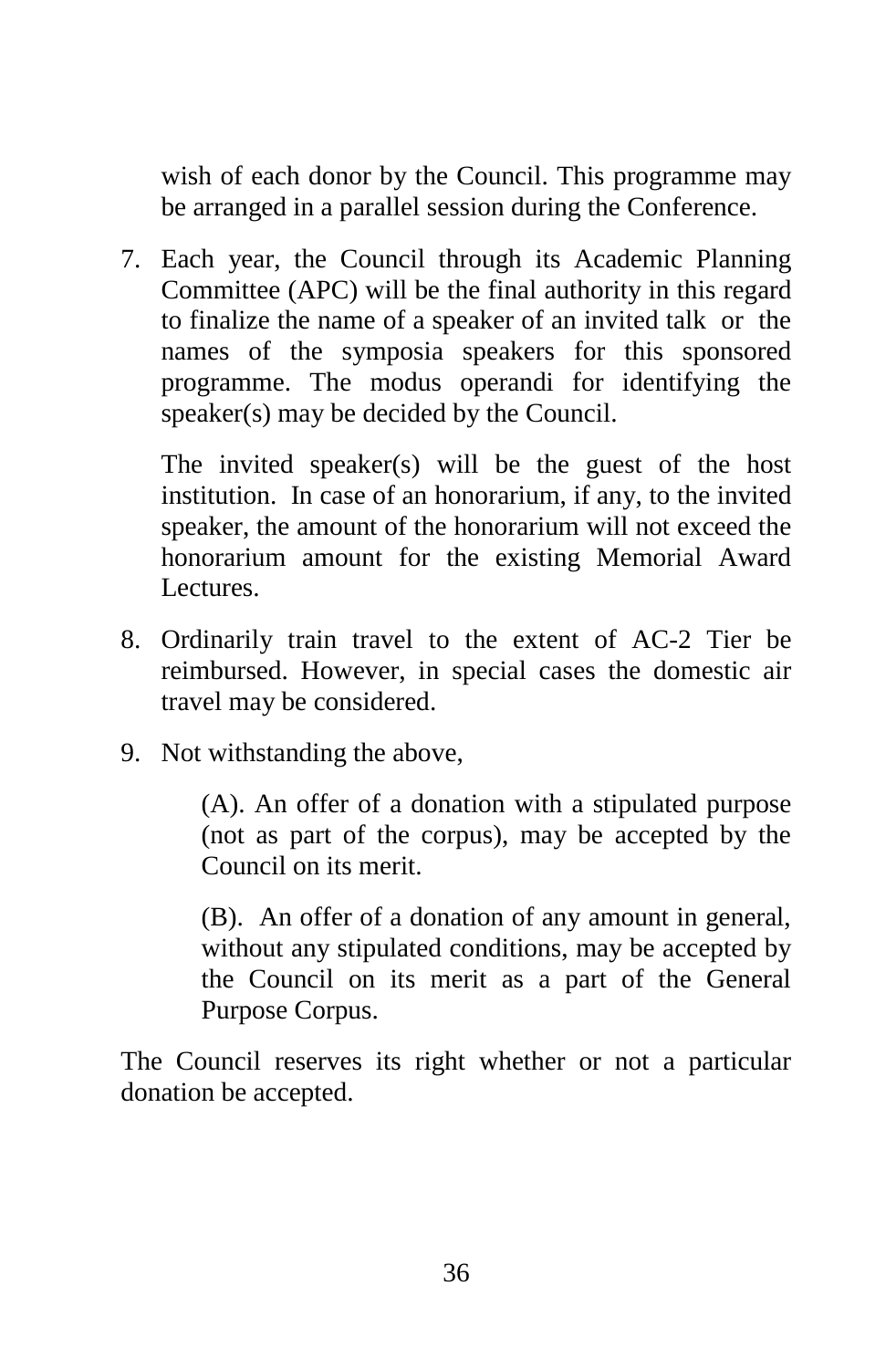wish of each donor by the Council. This programme may be arranged in a parallel session during the Conference.

7. Each year, the Council through its Academic Planning Committee (APC) will be the final authority in this regard to finalize the name of a speaker of an invited talk or the names of the symposia speakers for this sponsored programme. The modus operandi for identifying the speaker(s) may be decided by the Council.

The invited speaker(s) will be the guest of the host institution. In case of an honorarium, if any, to the invited speaker, the amount of the honorarium will not exceed the honorarium amount for the existing Memorial Award Lectures.

- 8. Ordinarily train travel to the extent of AC-2 Tier be reimbursed. However, in special cases the domestic air travel may be considered.
- 9. Not withstanding the above,

(A). An offer of a donation with a stipulated purpose (not as part of the corpus), may be accepted by the Council on its merit.

(B). An offer of a donation of any amount in general, without any stipulated conditions, may be accepted by the Council on its merit as a part of the General Purpose Corpus.

The Council reserves its right whether or not a particular donation be accepted.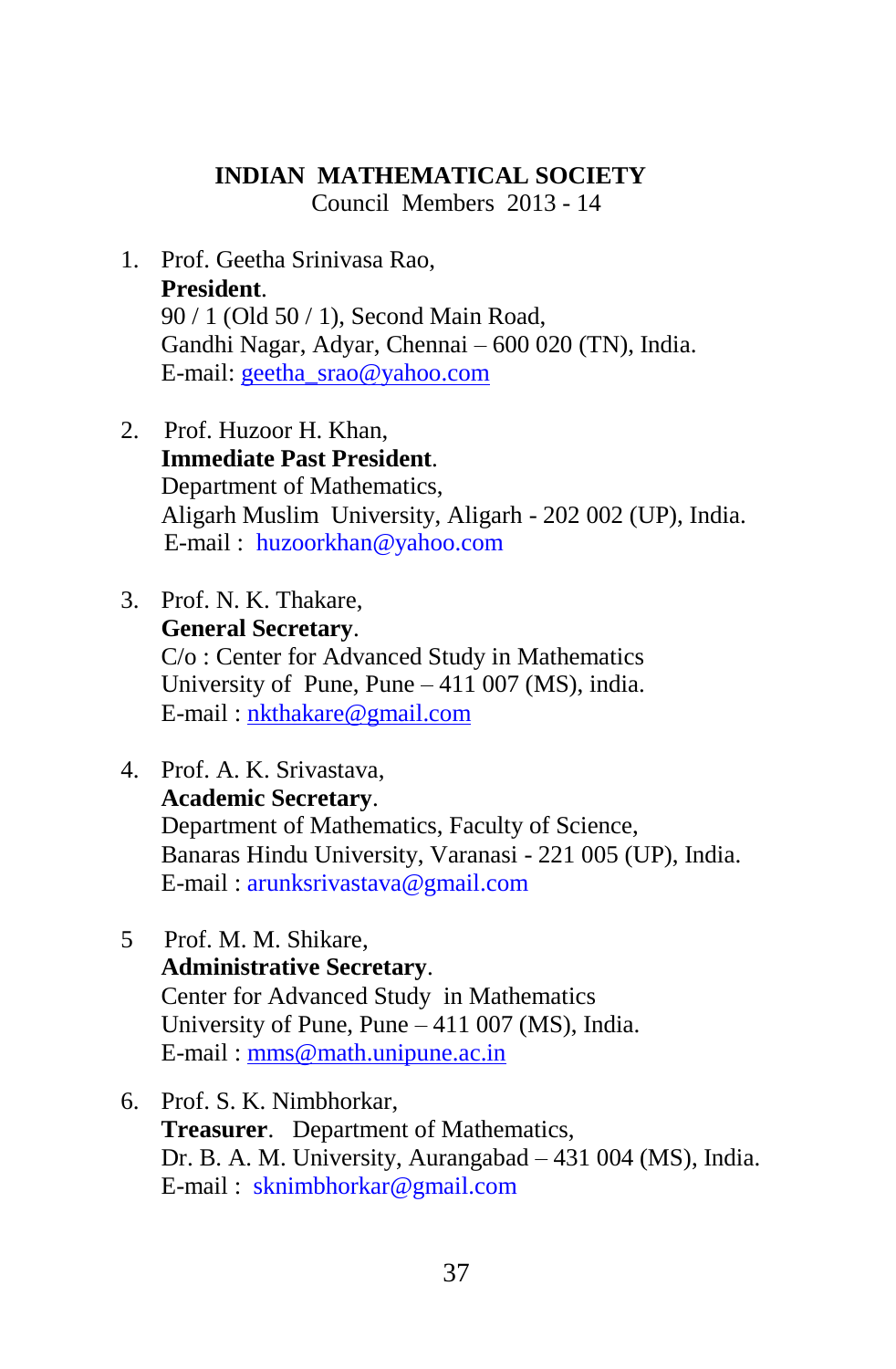# **INDIAN MATHEMATICAL SOCIETY**

Council Members 2013 - 14

- 1. Prof. Geetha Srinivasa Rao, **President**. 90 / 1 (Old 50 / 1), Second Main Road, Gandhi Nagar, Adyar, Chennai – 600 020 (TN), India. E-mail: [geetha\\_srao@yahoo.com](mailto:geetha_srao@yahoo.com)
- 2. Prof. Huzoor H. Khan, **Immediate Past President**. Department of Mathematics, Aligarh Muslim University, Aligarh - 202 002 (UP), India. E-mail : [huzoorkhan@yahoo.com](mailto:huzoorkhan@yahoo.com)
- 3. Prof. N. K. Thakare, **General Secretary**. C/o : Center for Advanced Study in Mathematics University of Pune, Pune – 411 007 (MS), india. E-mail : [nkthakare@gmail.com](mailto:nkthakare@gmail.com)
- 4. Prof. A. K. Srivastava, **Academic Secretary**. Department of Mathematics, Faculty of Science, Banaras Hindu University, Varanasi - 221 005 (UP), India. E-mail : [arunksrivastava@gmail.com](mailto:arunksrivastava@gmail.com)
- 5 Prof. M. M. Shikare, **Administrative Secretary**. Center for Advanced Study in Mathematics University of Pune, Pune – 411 007 (MS), India. E-mail : [mms@math.unipune.ac.in](mailto:mms@math.unipune.ac.in)
- 6. Prof. S. K. Nimbhorkar, **Treasurer**. Department of Mathematics, Dr. B. A. M. University, Aurangabad – 431 004 (MS), India. E-mail : [sknimbhorkar@gmail.com](mailto:sknimbhorkar@gmail.com)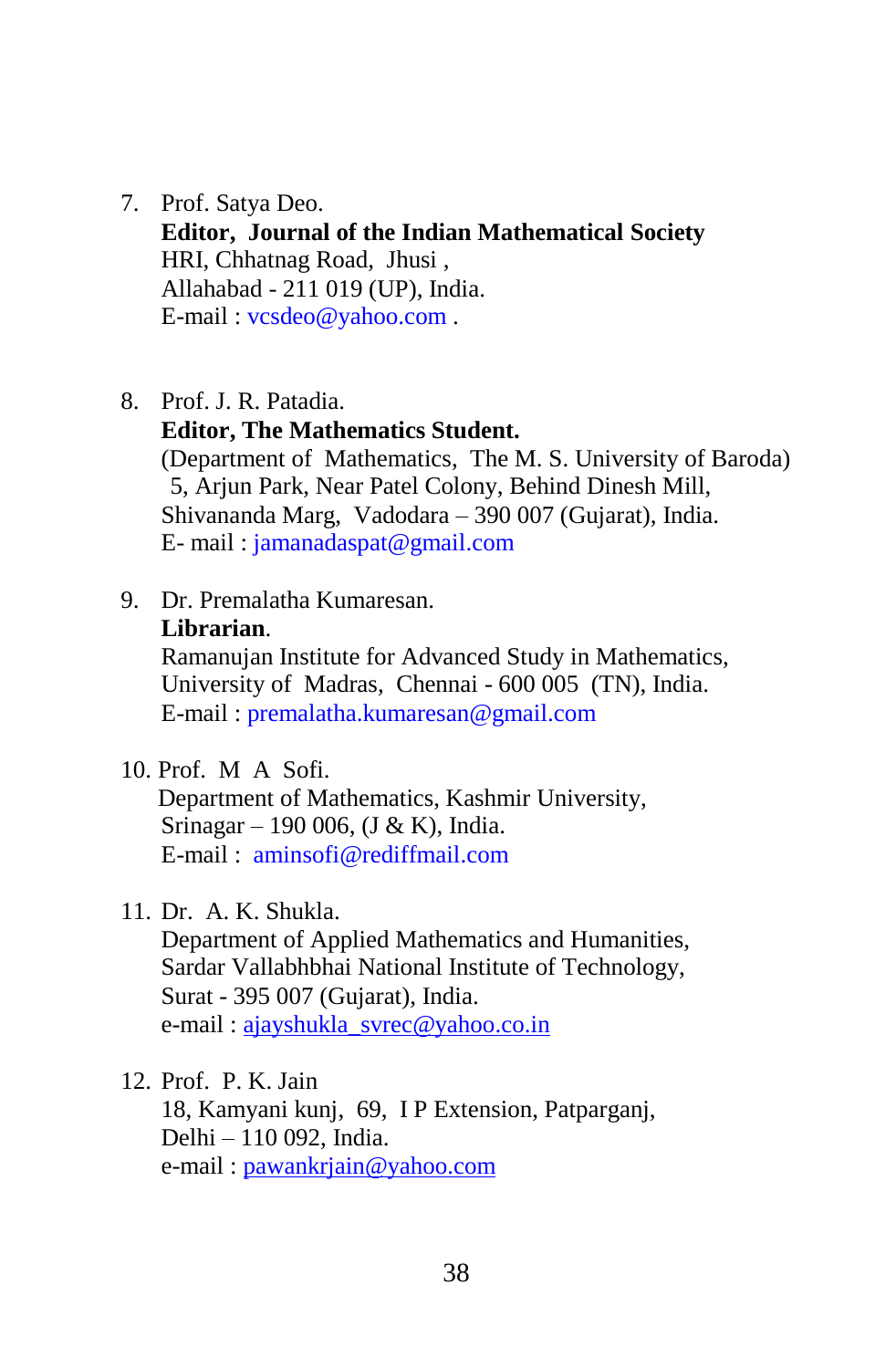- 7. Prof. Satya Deo. **Editor, Journal of the Indian Mathematical Society** HRI, Chhatnag Road, Jhusi , Allahabad - 211 019 (UP), India. E-mail : [vcsdeo@yahoo.com](mailto:vcsdeo@yahoo.com) .
- 8. Prof. J. R. Patadia.
	- **Editor, The Mathematics Student.**

(Department of Mathematics, The M. S. University of Baroda) 5, Arjun Park, Near Patel Colony, Behind Dinesh Mill, Shivananda Marg, Vadodara – 390 007 (Gujarat), India. E- mail : [jamanadaspat@gmail.com](mailto:jamanadaspat@gmail.com)

- 9. Dr. Premalatha Kumaresan. **Librarian**. Ramanujan Institute for Advanced Study in Mathematics, University of Madras, Chennai - 600 005 (TN), India. E-mail : [premalatha.kumaresan@gmail.com](mailto:premalatha.kumaresan@gmail.com)
- 10. Prof. M A Sofi.

 Department of Mathematics, Kashmir University, Srinagar – 190 006, (J & K), India. E-mail : [aminsofi@rediffmail.com](mailto:aminsofi@rediffmail.com) 

11. Dr. A. K. Shukla.

Department of Applied Mathematics and Humanities, Sardar Vallabhbhai National Institute of Technology, Surat - 395 007 (Gujarat), India. e-mail : [ajayshukla\\_svrec@yahoo.co.in](mailto:ajayshukla_svrec@yahoo.co.in)

12. Prof. P. K. Jain 18, Kamyani kunj, 69, I P Extension, Patparganj, Delhi – 110 092, India. e-mail : [pawankrjain@yahoo.com](mailto:pawankrjain@yahoo.com)